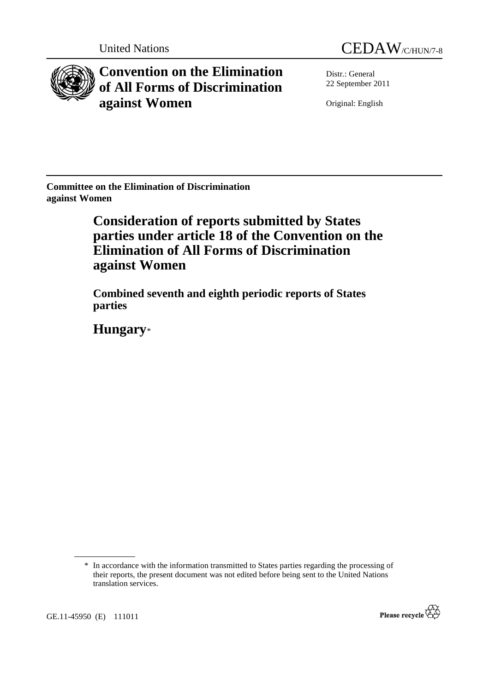



**Convention on the Elimination of All Forms of Discrimination against Women** 

Distr.: General 22 September 2011

Original: English

**Committee on the Elimination of Discrimination against Women** 

# **Consideration of reports submitted by States parties under article 18 of the Convention on the Elimination of All Forms of Discrimination against Women**

 **Combined seventh and eighth periodic reports of States parties** 

 **Hungary**\*



<sup>\*</sup> In accordance with the information transmitted to States parties regarding the processing of their reports, the present document was not edited before being sent to the United Nations translation services.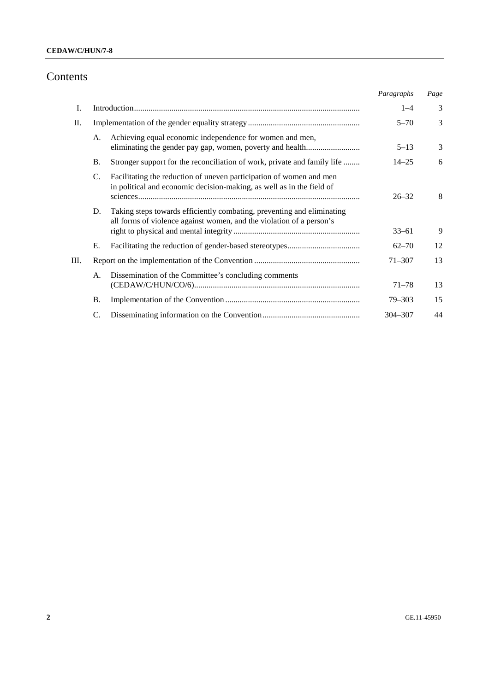# Contents

|    |           |                                                                                                                                                | Paragraphs | Page |
|----|-----------|------------------------------------------------------------------------------------------------------------------------------------------------|------------|------|
| I. |           |                                                                                                                                                | $1 - 4$    | 3    |
| П. |           |                                                                                                                                                | $5 - 70$   | 3    |
|    | A.        | Achieving equal economic independence for women and men,<br>eliminating the gender pay gap, women, poverty and health                          | $5 - 13$   | 3    |
|    | Β.        | Stronger support for the reconciliation of work, private and family life                                                                       | $14 - 25$  | 6    |
|    | C.        | Facilitating the reduction of uneven participation of women and men<br>in political and economic decision-making, as well as in the field of   | $26 - 32$  | 8    |
|    | D.        | Taking steps towards efficiently combating, preventing and eliminating<br>all forms of violence against women, and the violation of a person's | $33 - 61$  | 9    |
|    | Е.        |                                                                                                                                                | $62 - 70$  | 12   |
| Ш. |           |                                                                                                                                                | $71 - 307$ | 13   |
|    | A.        | Dissemination of the Committee's concluding comments                                                                                           | $71 - 78$  | 13   |
|    | <b>B.</b> |                                                                                                                                                | $79 - 303$ | 15   |
|    |           |                                                                                                                                                | 304-307    | 44   |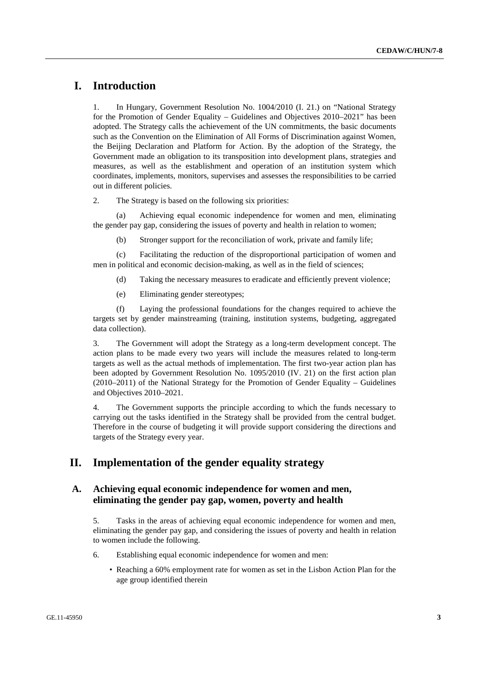# **I. Introduction**

1. In Hungary, Government Resolution No. 1004/2010 (I. 21.) on "National Strategy for the Promotion of Gender Equality – Guidelines and Objectives 2010–2021" has been adopted. The Strategy calls the achievement of the UN commitments, the basic documents such as the Convention on the Elimination of All Forms of Discrimination against Women, the Beijing Declaration and Platform for Action. By the adoption of the Strategy, the Government made an obligation to its transposition into development plans, strategies and measures, as well as the establishment and operation of an institution system which coordinates, implements, monitors, supervises and assesses the responsibilities to be carried out in different policies.

2. The Strategy is based on the following six priorities:

 (a) Achieving equal economic independence for women and men, eliminating the gender pay gap, considering the issues of poverty and health in relation to women;

(b) Stronger support for the reconciliation of work, private and family life;

 (c) Facilitating the reduction of the disproportional participation of women and men in political and economic decision-making, as well as in the field of sciences;

(d) Taking the necessary measures to eradicate and efficiently prevent violence;

(e) Eliminating gender stereotypes;

 (f) Laying the professional foundations for the changes required to achieve the targets set by gender mainstreaming (training, institution systems, budgeting, aggregated data collection).

3. The Government will adopt the Strategy as a long-term development concept. The action plans to be made every two years will include the measures related to long-term targets as well as the actual methods of implementation. The first two-year action plan has been adopted by Government Resolution No. 1095/2010 (IV. 21) on the first action plan  $(2010-2011)$  of the National Strategy for the Promotion of Gender Equality – Guidelines and Objectives 2010–2021.

4. The Government supports the principle according to which the funds necessary to carrying out the tasks identified in the Strategy shall be provided from the central budget. Therefore in the course of budgeting it will provide support considering the directions and targets of the Strategy every year.

# **II. Implementation of the gender equality strategy**

# **A. Achieving equal economic independence for women and men, eliminating the gender pay gap, women, poverty and health**

5. Tasks in the areas of achieving equal economic independence for women and men, eliminating the gender pay gap, and considering the issues of poverty and health in relation to women include the following.

- 6. Establishing equal economic independence for women and men:
	- Reaching a 60% employment rate for women as set in the Lisbon Action Plan for the age group identified therein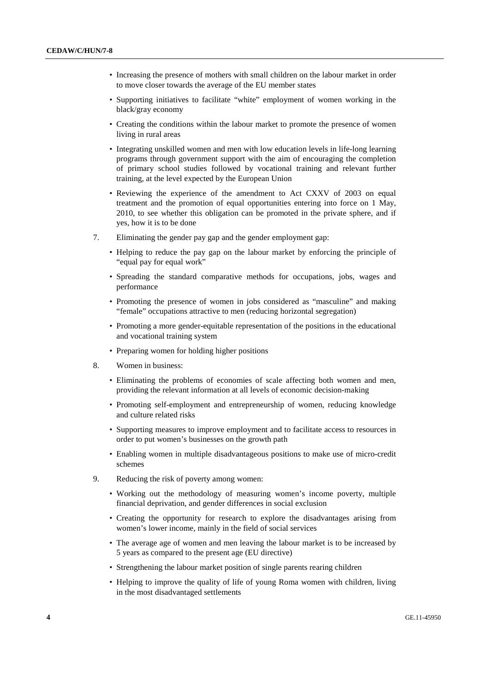- Increasing the presence of mothers with small children on the labour market in order to move closer towards the average of the EU member states
- Supporting initiatives to facilitate "white" employment of women working in the black/gray economy
- Creating the conditions within the labour market to promote the presence of women living in rural areas
- Integrating unskilled women and men with low education levels in life-long learning programs through government support with the aim of encouraging the completion of primary school studies followed by vocational training and relevant further training, at the level expected by the European Union
- Reviewing the experience of the amendment to Act CXXV of 2003 on equal treatment and the promotion of equal opportunities entering into force on 1 May, 2010, to see whether this obligation can be promoted in the private sphere, and if yes, how it is to be done
- 7. Eliminating the gender pay gap and the gender employment gap:
	- Helping to reduce the pay gap on the labour market by enforcing the principle of "equal pay for equal work"
	- Spreading the standard comparative methods for occupations, jobs, wages and performance
	- Promoting the presence of women in jobs considered as "masculine" and making "female" occupations attractive to men (reducing horizontal segregation)
	- Promoting a more gender-equitable representation of the positions in the educational and vocational training system
	- Preparing women for holding higher positions
- 8. Women in business:
	- Eliminating the problems of economies of scale affecting both women and men, providing the relevant information at all levels of economic decision-making
	- Promoting self-employment and entrepreneurship of women, reducing knowledge and culture related risks
	- Supporting measures to improve employment and to facilitate access to resources in order to put women's businesses on the growth path
	- Enabling women in multiple disadvantageous positions to make use of micro-credit schemes
- 9. Reducing the risk of poverty among women:
	- Working out the methodology of measuring women's income poverty, multiple financial deprivation, and gender differences in social exclusion
	- Creating the opportunity for research to explore the disadvantages arising from women's lower income, mainly in the field of social services
	- The average age of women and men leaving the labour market is to be increased by 5 years as compared to the present age (EU directive)
	- Strengthening the labour market position of single parents rearing children
	- Helping to improve the quality of life of young Roma women with children, living in the most disadvantaged settlements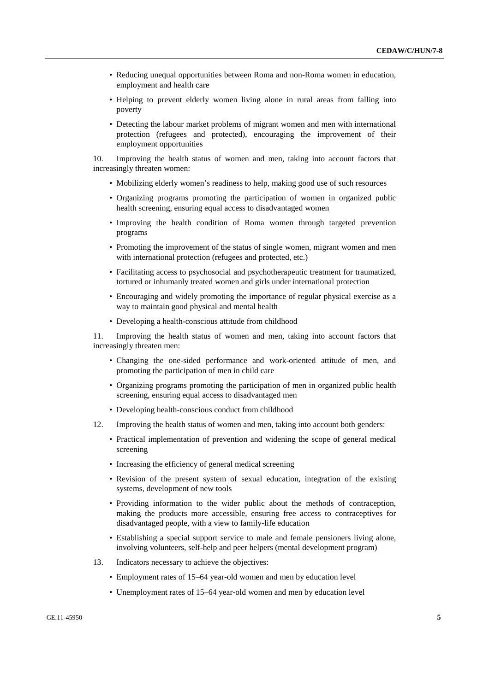- Reducing unequal opportunities between Roma and non-Roma women in education, employment and health care
- Helping to prevent elderly women living alone in rural areas from falling into poverty
- Detecting the labour market problems of migrant women and men with international protection (refugees and protected), encouraging the improvement of their employment opportunities

10. Improving the health status of women and men, taking into account factors that increasingly threaten women:

- Mobilizing elderly women's readiness to help, making good use of such resources
- Organizing programs promoting the participation of women in organized public health screening, ensuring equal access to disadvantaged women
- Improving the health condition of Roma women through targeted prevention programs
- Promoting the improvement of the status of single women, migrant women and men with international protection (refugees and protected, etc.)
- Facilitating access to psychosocial and psychotherapeutic treatment for traumatized, tortured or inhumanly treated women and girls under international protection
- Encouraging and widely promoting the importance of regular physical exercise as a way to maintain good physical and mental health
- Developing a health-conscious attitude from childhood

11. Improving the health status of women and men, taking into account factors that increasingly threaten men:

- Changing the one-sided performance and work-oriented attitude of men, and promoting the participation of men in child care
- Organizing programs promoting the participation of men in organized public health screening, ensuring equal access to disadvantaged men
- Developing health-conscious conduct from childhood
- 12. Improving the health status of women and men, taking into account both genders:
	- Practical implementation of prevention and widening the scope of general medical screening
	- Increasing the efficiency of general medical screening
	- Revision of the present system of sexual education, integration of the existing systems, development of new tools
	- Providing information to the wider public about the methods of contraception, making the products more accessible, ensuring free access to contraceptives for disadvantaged people, with a view to family-life education
	- Establishing a special support service to male and female pensioners living alone, involving volunteers, self-help and peer helpers (mental development program)
- 13. Indicators necessary to achieve the objectives:
	- Employment rates of 15–64 year-old women and men by education level
	- Unemployment rates of 15–64 year-old women and men by education level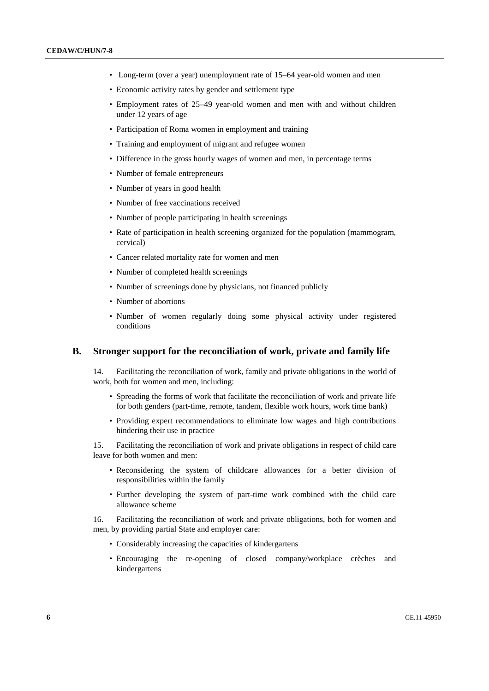- Long-term (over a year) unemployment rate of 15–64 year-old women and men
- Economic activity rates by gender and settlement type
- Employment rates of 25–49 year-old women and men with and without children under 12 years of age
- Participation of Roma women in employment and training
- Training and employment of migrant and refugee women
- Difference in the gross hourly wages of women and men, in percentage terms
- Number of female entrepreneurs
- Number of years in good health
- Number of free vaccinations received
- Number of people participating in health screenings
- Rate of participation in health screening organized for the population (mammogram, cervical)
- Cancer related mortality rate for women and men
- Number of completed health screenings
- Number of screenings done by physicians, not financed publicly
- Number of abortions
- Number of women regularly doing some physical activity under registered conditions

### **B. Stronger support for the reconciliation of work, private and family life**

14. Facilitating the reconciliation of work, family and private obligations in the world of work, both for women and men, including:

- Spreading the forms of work that facilitate the reconciliation of work and private life for both genders (part-time, remote, tandem, flexible work hours, work time bank)
- Providing expert recommendations to eliminate low wages and high contributions hindering their use in practice

15. Facilitating the reconciliation of work and private obligations in respect of child care leave for both women and men:

- Reconsidering the system of childcare allowances for a better division of responsibilities within the family
- Further developing the system of part-time work combined with the child care allowance scheme

16. Facilitating the reconciliation of work and private obligations, both for women and men, by providing partial State and employer care:

- Considerably increasing the capacities of kindergartens
- Encouraging the re-opening of closed company/workplace crèches and kindergartens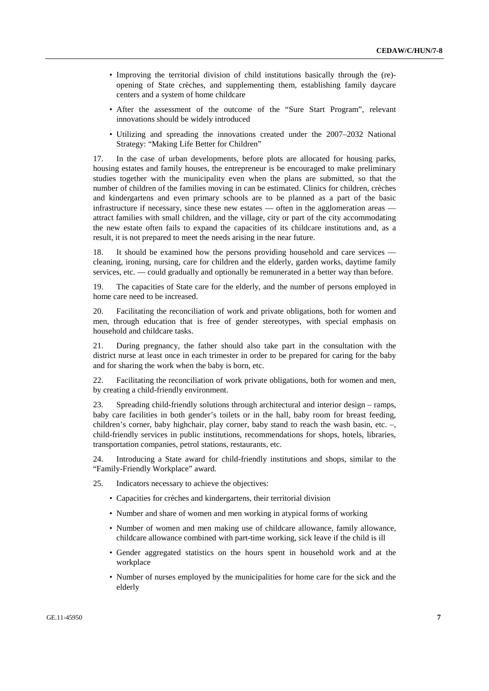- Improving the territorial division of child institutions basically through the (re) opening of State crèches, and supplementing them, establishing family daycare centers and a system of home childcare
- After the assessment of the outcome of the "Sure Start Program", relevant innovations should be widely introduced
- Utilizing and spreading the innovations created under the 2007–2032 National Strategy: "Making Life Better for Children"

17. In the case of urban developments, before plots are allocated for housing parks, housing estates and family houses, the entrepreneur is be encouraged to make preliminary studies together with the municipality even when the plans are submitted, so that the number of children of the families moving in can be estimated. Clinics for children, crèches and kindergartens and even primary schools are to be planned as a part of the basic infrastructure if necessary, since these new estates — often in the agglomeration areas attract families with small children, and the village, city or part of the city accommodating the new estate often fails to expand the capacities of its childcare institutions and, as a result, it is not prepared to meet the needs arising in the near future.

18. It should be examined how the persons providing household and care services cleaning, ironing, nursing, care for children and the elderly, garden works, daytime family services, etc. — could gradually and optionally be remunerated in a better way than before.

19. The capacities of State care for the elderly, and the number of persons employed in home care need to be increased.

20. Facilitating the reconciliation of work and private obligations, both for women and men, through education that is free of gender stereotypes, with special emphasis on household and childcare tasks.

21. During pregnancy, the father should also take part in the consultation with the district nurse at least once in each trimester in order to be prepared for caring for the baby and for sharing the work when the baby is born, etc.

22. Facilitating the reconciliation of work private obligations, both for women and men, by creating a child-friendly environment.

23. Spreading child-friendly solutions through architectural and interior design – ramps, baby care facilities in both gender's toilets or in the hall, baby room for breast feeding, children's corner, baby highchair, play corner, baby stand to reach the wash basin, etc. –, child-friendly services in public institutions, recommendations for shops, hotels, libraries, transportation companies, petrol stations, restaurants, etc.

24. Introducing a State award for child-friendly institutions and shops, similar to the "Family-Friendly Workplace" award.

- 25. Indicators necessary to achieve the objectives:
	- Capacities for crèches and kindergartens, their territorial division
	- Number and share of women and men working in atypical forms of working
	- Number of women and men making use of childcare allowance, family allowance, childcare allowance combined with part-time working, sick leave if the child is ill
	- Gender aggregated statistics on the hours spent in household work and at the workplace
	- Number of nurses employed by the municipalities for home care for the sick and the elderly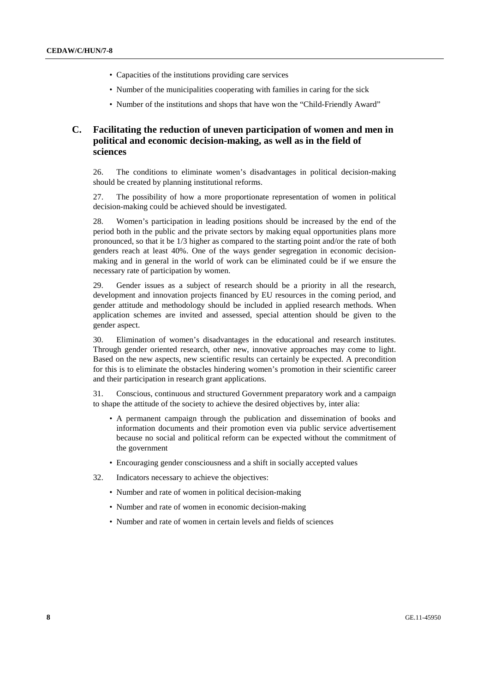- Capacities of the institutions providing care services
- Number of the municipalities cooperating with families in caring for the sick
- Number of the institutions and shops that have won the "Child-Friendly Award"

# **C. Facilitating the reduction of uneven participation of women and men in political and economic decision-making, as well as in the field of sciences**

26. The conditions to eliminate women's disadvantages in political decision-making should be created by planning institutional reforms.

27. The possibility of how a more proportionate representation of women in political decision-making could be achieved should be investigated.

28. Women's participation in leading positions should be increased by the end of the period both in the public and the private sectors by making equal opportunities plans more pronounced, so that it be 1/3 higher as compared to the starting point and/or the rate of both genders reach at least 40%. One of the ways gender segregation in economic decisionmaking and in general in the world of work can be eliminated could be if we ensure the necessary rate of participation by women.

29. Gender issues as a subject of research should be a priority in all the research, development and innovation projects financed by EU resources in the coming period, and gender attitude and methodology should be included in applied research methods. When application schemes are invited and assessed, special attention should be given to the gender aspect.

30. Elimination of women's disadvantages in the educational and research institutes. Through gender oriented research, other new, innovative approaches may come to light. Based on the new aspects, new scientific results can certainly be expected. A precondition for this is to eliminate the obstacles hindering women's promotion in their scientific career and their participation in research grant applications.

31. Conscious, continuous and structured Government preparatory work and a campaign to shape the attitude of the society to achieve the desired objectives by, inter alia:

- A permanent campaign through the publication and dissemination of books and information documents and their promotion even via public service advertisement because no social and political reform can be expected without the commitment of the government
- Encouraging gender consciousness and a shift in socially accepted values
- 32. Indicators necessary to achieve the objectives:
	- Number and rate of women in political decision-making
	- Number and rate of women in economic decision-making
	- Number and rate of women in certain levels and fields of sciences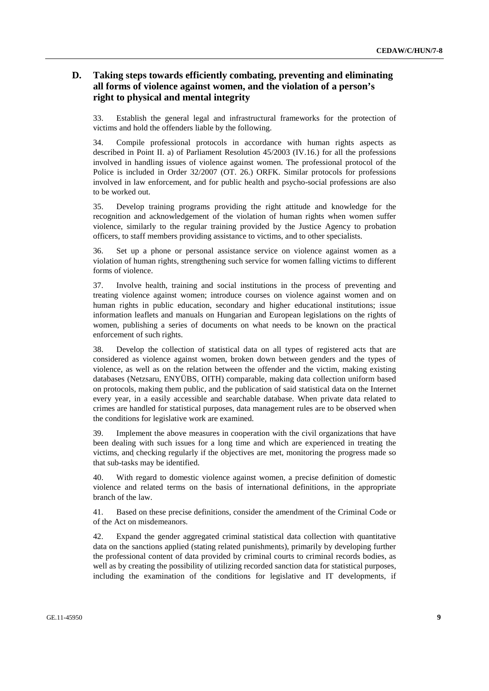# **D. Taking steps towards efficiently combating, preventing and eliminating all forms of violence against women, and the violation of a person's right to physical and mental integrity**

33. Establish the general legal and infrastructural frameworks for the protection of victims and hold the offenders liable by the following.

34. Compile professional protocols in accordance with human rights aspects as described in Point II. a) of Parliament Resolution 45/2003 (IV.16.) for all the professions involved in handling issues of violence against women. The professional protocol of the Police is included in Order 32/2007 (OT. 26.) ORFK. Similar protocols for professions involved in law enforcement, and for public health and psycho-social professions are also to be worked out.

35. Develop training programs providing the right attitude and knowledge for the recognition and acknowledgement of the violation of human rights when women suffer violence, similarly to the regular training provided by the Justice Agency to probation officers, to staff members providing assistance to victims, and to other specialists.

36. Set up a phone or personal assistance service on violence against women as a violation of human rights, strengthening such service for women falling victims to different forms of violence.

37. Involve health, training and social institutions in the process of preventing and treating violence against women; introduce courses on violence against women and on human rights in public education, secondary and higher educational institutions; issue information leaflets and manuals on Hungarian and European legislations on the rights of women, publishing a series of documents on what needs to be known on the practical enforcement of such rights.

38. Develop the collection of statistical data on all types of registered acts that are considered as violence against women, broken down between genders and the types of violence, as well as on the relation between the offender and the victim, making existing databases (Netzsaru, ENYÜBS, OITH) comparable, making data collection uniform based on protocols, making them public, and the publication of said statistical data on the Internet every year, in a easily accessible and searchable database. When private data related to crimes are handled for statistical purposes, data management rules are to be observed when the conditions for legislative work are examined.

39. Implement the above measures in cooperation with the civil organizations that have been dealing with such issues for a long time and which are experienced in treating the victims, and checking regularly if the objectives are met, monitoring the progress made so that sub-tasks may be identified.

40. With regard to domestic violence against women, a precise definition of domestic violence and related terms on the basis of international definitions, in the appropriate branch of the law.

41. Based on these precise definitions, consider the amendment of the Criminal Code or of the Act on misdemeanors.

42. Expand the gender aggregated criminal statistical data collection with quantitative data on the sanctions applied (stating related punishments), primarily by developing further the professional content of data provided by criminal courts to criminal records bodies, as well as by creating the possibility of utilizing recorded sanction data for statistical purposes, including the examination of the conditions for legislative and IT developments, if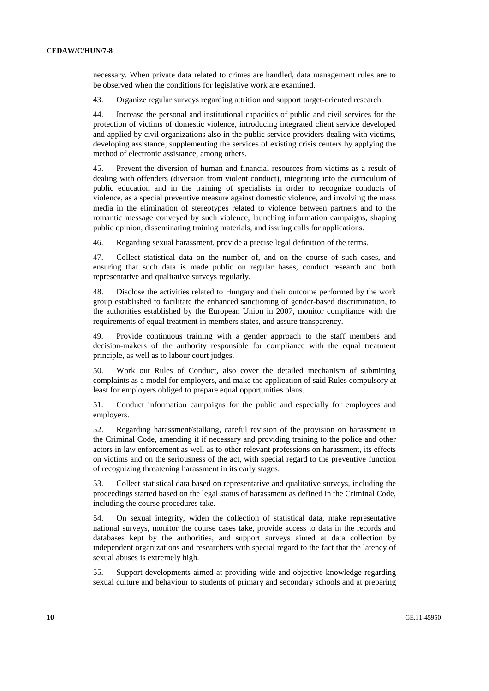necessary. When private data related to crimes are handled, data management rules are to be observed when the conditions for legislative work are examined.

43. Organize regular surveys regarding attrition and support target-oriented research.

44. Increase the personal and institutional capacities of public and civil services for the protection of victims of domestic violence, introducing integrated client service developed and applied by civil organizations also in the public service providers dealing with victims, developing assistance, supplementing the services of existing crisis centers by applying the method of electronic assistance, among others.

45. Prevent the diversion of human and financial resources from victims as a result of dealing with offenders (diversion from violent conduct), integrating into the curriculum of public education and in the training of specialists in order to recognize conducts of violence, as a special preventive measure against domestic violence, and involving the mass media in the elimination of stereotypes related to violence between partners and to the romantic message conveyed by such violence, launching information campaigns, shaping public opinion, disseminating training materials, and issuing calls for applications.

46. Regarding sexual harassment, provide a precise legal definition of the terms.

47. Collect statistical data on the number of, and on the course of such cases, and ensuring that such data is made public on regular bases, conduct research and both representative and qualitative surveys regularly.

48. Disclose the activities related to Hungary and their outcome performed by the work group established to facilitate the enhanced sanctioning of gender-based discrimination, to the authorities established by the European Union in 2007, monitor compliance with the requirements of equal treatment in members states, and assure transparency.

49. Provide continuous training with a gender approach to the staff members and decision-makers of the authority responsible for compliance with the equal treatment principle, as well as to labour court judges.

50. Work out Rules of Conduct, also cover the detailed mechanism of submitting complaints as a model for employers, and make the application of said Rules compulsory at least for employers obliged to prepare equal opportunities plans.

51. Conduct information campaigns for the public and especially for employees and employers.

52. Regarding harassment/stalking, careful revision of the provision on harassment in the Criminal Code, amending it if necessary and providing training to the police and other actors in law enforcement as well as to other relevant professions on harassment, its effects on victims and on the seriousness of the act, with special regard to the preventive function of recognizing threatening harassment in its early stages.

53. Collect statistical data based on representative and qualitative surveys, including the proceedings started based on the legal status of harassment as defined in the Criminal Code, including the course procedures take.

54. On sexual integrity, widen the collection of statistical data, make representative national surveys, monitor the course cases take, provide access to data in the records and databases kept by the authorities, and support surveys aimed at data collection by independent organizations and researchers with special regard to the fact that the latency of sexual abuses is extremely high.

55. Support developments aimed at providing wide and objective knowledge regarding sexual culture and behaviour to students of primary and secondary schools and at preparing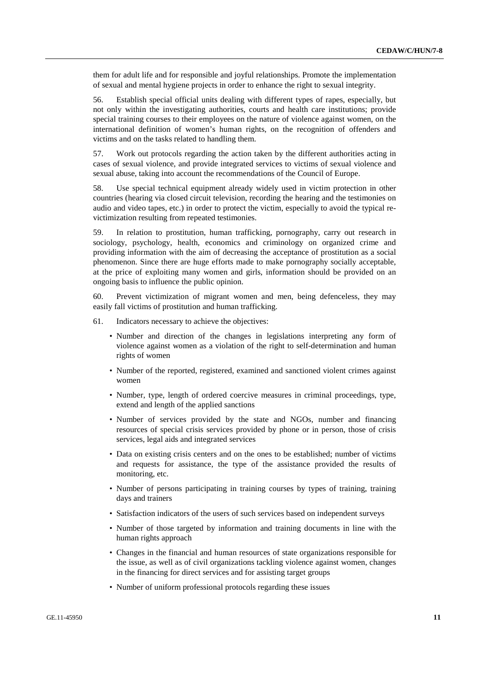them for adult life and for responsible and joyful relationships. Promote the implementation of sexual and mental hygiene projects in order to enhance the right to sexual integrity.

56. Establish special official units dealing with different types of rapes, especially, but not only within the investigating authorities, courts and health care institutions; provide special training courses to their employees on the nature of violence against women, on the international definition of women's human rights, on the recognition of offenders and victims and on the tasks related to handling them.

57. Work out protocols regarding the action taken by the different authorities acting in cases of sexual violence, and provide integrated services to victims of sexual violence and sexual abuse, taking into account the recommendations of the Council of Europe.

58. Use special technical equipment already widely used in victim protection in other countries (hearing via closed circuit television, recording the hearing and the testimonies on audio and video tapes, etc.) in order to protect the victim, especially to avoid the typical revictimization resulting from repeated testimonies.

59. In relation to prostitution, human trafficking, pornography, carry out research in sociology, psychology, health, economics and criminology on organized crime and providing information with the aim of decreasing the acceptance of prostitution as a social phenomenon. Since there are huge efforts made to make pornography socially acceptable, at the price of exploiting many women and girls, information should be provided on an ongoing basis to influence the public opinion.

60. Prevent victimization of migrant women and men, being defenceless, they may easily fall victims of prostitution and human trafficking.

- 61. Indicators necessary to achieve the objectives:
	- Number and direction of the changes in legislations interpreting any form of violence against women as a violation of the right to self-determination and human rights of women
	- Number of the reported, registered, examined and sanctioned violent crimes against women
	- Number, type, length of ordered coercive measures in criminal proceedings, type, extend and length of the applied sanctions
	- Number of services provided by the state and NGOs, number and financing resources of special crisis services provided by phone or in person, those of crisis services, legal aids and integrated services
	- Data on existing crisis centers and on the ones to be established; number of victims and requests for assistance, the type of the assistance provided the results of monitoring, etc.
	- Number of persons participating in training courses by types of training, training days and trainers
	- Satisfaction indicators of the users of such services based on independent surveys
	- Number of those targeted by information and training documents in line with the human rights approach
	- Changes in the financial and human resources of state organizations responsible for the issue, as well as of civil organizations tackling violence against women, changes in the financing for direct services and for assisting target groups
	- Number of uniform professional protocols regarding these issues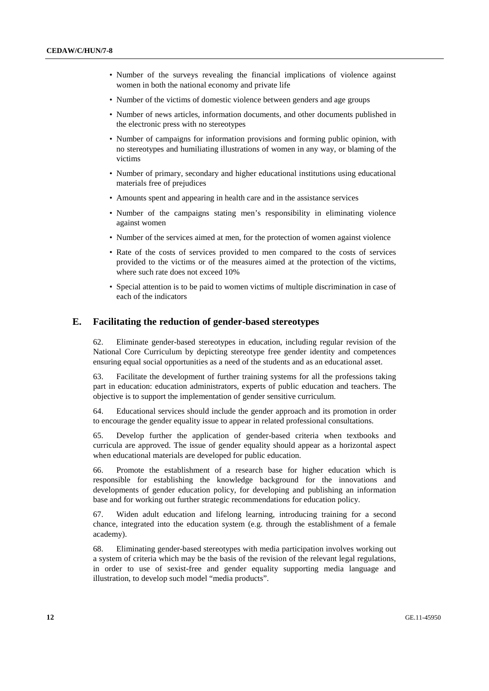- Number of the surveys revealing the financial implications of violence against women in both the national economy and private life
- Number of the victims of domestic violence between genders and age groups
- Number of news articles, information documents, and other documents published in the electronic press with no stereotypes
- Number of campaigns for information provisions and forming public opinion, with no stereotypes and humiliating illustrations of women in any way, or blaming of the victims
- Number of primary, secondary and higher educational institutions using educational materials free of prejudices
- Amounts spent and appearing in health care and in the assistance services
- Number of the campaigns stating men's responsibility in eliminating violence against women
- Number of the services aimed at men, for the protection of women against violence
- Rate of the costs of services provided to men compared to the costs of services provided to the victims or of the measures aimed at the protection of the victims, where such rate does not exceed 10%
- Special attention is to be paid to women victims of multiple discrimination in case of each of the indicators

### **E. Facilitating the reduction of gender-based stereotypes**

62. Eliminate gender-based stereotypes in education, including regular revision of the National Core Curriculum by depicting stereotype free gender identity and competences ensuring equal social opportunities as a need of the students and as an educational asset.

63. Facilitate the development of further training systems for all the professions taking part in education: education administrators, experts of public education and teachers. The objective is to support the implementation of gender sensitive curriculum.

64. Educational services should include the gender approach and its promotion in order to encourage the gender equality issue to appear in related professional consultations.

65. Develop further the application of gender-based criteria when textbooks and curricula are approved. The issue of gender equality should appear as a horizontal aspect when educational materials are developed for public education.

66. Promote the establishment of a research base for higher education which is responsible for establishing the knowledge background for the innovations and developments of gender education policy, for developing and publishing an information base and for working out further strategic recommendations for education policy.

67. Widen adult education and lifelong learning, introducing training for a second chance, integrated into the education system (e.g. through the establishment of a female academy).

68. Eliminating gender-based stereotypes with media participation involves working out a system of criteria which may be the basis of the revision of the relevant legal regulations, in order to use of sexist-free and gender equality supporting media language and illustration, to develop such model "media products".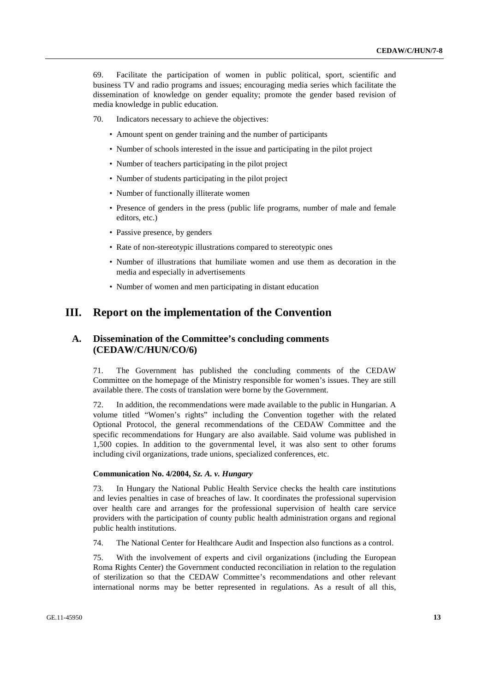69. Facilitate the participation of women in public political, sport, scientific and business TV and radio programs and issues; encouraging media series which facilitate the dissemination of knowledge on gender equality; promote the gender based revision of media knowledge in public education.

- 70. Indicators necessary to achieve the objectives:
	- Amount spent on gender training and the number of participants
	- Number of schools interested in the issue and participating in the pilot project
	- Number of teachers participating in the pilot project
	- Number of students participating in the pilot project
	- Number of functionally illiterate women
	- Presence of genders in the press (public life programs, number of male and female editors, etc.)
	- Passive presence, by genders
	- Rate of non-stereotypic illustrations compared to stereotypic ones
	- Number of illustrations that humiliate women and use them as decoration in the media and especially in advertisements
	- Number of women and men participating in distant education

# **III. Report on the implementation of the Convention**

# **A. Dissemination of the Committee's concluding comments (CEDAW/C/HUN/CO/6)**

71. The Government has published the concluding comments of the CEDAW Committee on the homepage of the Ministry responsible for women's issues. They are still available there. The costs of translation were borne by the Government.

72. In addition, the recommendations were made available to the public in Hungarian. A volume titled "Women's rights" including the Convention together with the related Optional Protocol, the general recommendations of the CEDAW Committee and the specific recommendations for Hungary are also available. Said volume was published in 1,500 copies. In addition to the governmental level, it was also sent to other forums including civil organizations, trade unions, specialized conferences, etc.

#### **Communication No. 4/2004,** *Sz. A. v. Hungary*

73. In Hungary the National Public Health Service checks the health care institutions and levies penalties in case of breaches of law. It coordinates the professional supervision over health care and arranges for the professional supervision of health care service providers with the participation of county public health administration organs and regional public health institutions.

74. The National Center for Healthcare Audit and Inspection also functions as a control.

75. With the involvement of experts and civil organizations (including the European Roma Rights Center) the Government conducted reconciliation in relation to the regulation of sterilization so that the CEDAW Committee's recommendations and other relevant international norms may be better represented in regulations. As a result of all this,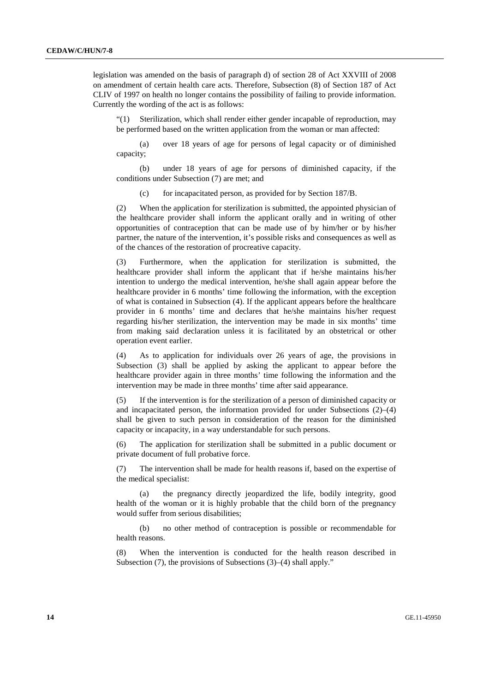legislation was amended on the basis of paragraph d) of section 28 of Act XXVIII of 2008 on amendment of certain health care acts. Therefore, Subsection (8) of Section 187 of Act CLIV of 1997 on health no longer contains the possibility of failing to provide information. Currently the wording of the act is as follows:

 "(1) Sterilization, which shall render either gender incapable of reproduction, may be performed based on the written application from the woman or man affected:

 (a) over 18 years of age for persons of legal capacity or of diminished capacity;

 (b) under 18 years of age for persons of diminished capacity, if the conditions under Subsection (7) are met; and

(c) for incapacitated person, as provided for by Section 187/B.

 (2) When the application for sterilization is submitted, the appointed physician of the healthcare provider shall inform the applicant orally and in writing of other opportunities of contraception that can be made use of by him/her or by his/her partner, the nature of the intervention, it's possible risks and consequences as well as of the chances of the restoration of procreative capacity.

 (3) Furthermore, when the application for sterilization is submitted, the healthcare provider shall inform the applicant that if he/she maintains his/her intention to undergo the medical intervention, he/she shall again appear before the healthcare provider in 6 months' time following the information, with the exception of what is contained in Subsection (4). If the applicant appears before the healthcare provider in 6 months' time and declares that he/she maintains his/her request regarding his/her sterilization, the intervention may be made in six months' time from making said declaration unless it is facilitated by an obstetrical or other operation event earlier.

 (4) As to application for individuals over 26 years of age, the provisions in Subsection (3) shall be applied by asking the applicant to appear before the healthcare provider again in three months' time following the information and the intervention may be made in three months' time after said appearance.

 (5) If the intervention is for the sterilization of a person of diminished capacity or and incapacitated person, the information provided for under Subsections (2)–(4) shall be given to such person in consideration of the reason for the diminished capacity or incapacity, in a way understandable for such persons.

 (6) The application for sterilization shall be submitted in a public document or private document of full probative force.

The intervention shall be made for health reasons if, based on the expertise of the medical specialist:

 (a) the pregnancy directly jeopardized the life, bodily integrity, good health of the woman or it is highly probable that the child born of the pregnancy would suffer from serious disabilities;

 (b) no other method of contraception is possible or recommendable for health reasons.

 (8) When the intervention is conducted for the health reason described in Subsection (7), the provisions of Subsections (3)–(4) shall apply."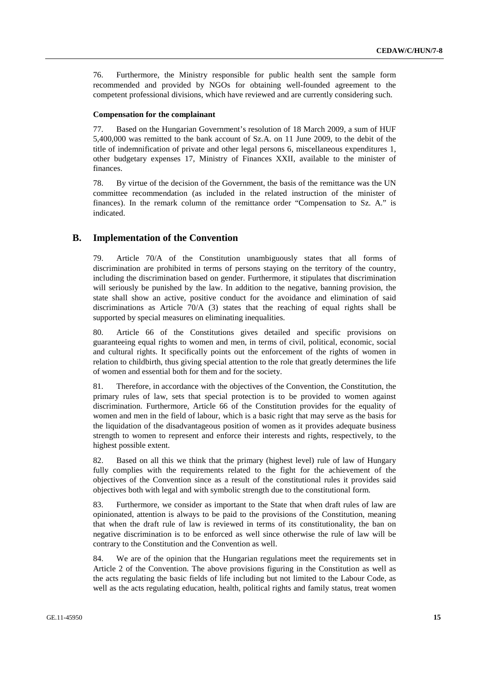76. Furthermore, the Ministry responsible for public health sent the sample form recommended and provided by NGOs for obtaining well-founded agreement to the competent professional divisions, which have reviewed and are currently considering such.

#### **Compensation for the complainant**

77. Based on the Hungarian Government's resolution of 18 March 2009, a sum of HUF 5,400,000 was remitted to the bank account of Sz.A. on 11 June 2009, to the debit of the title of indemnification of private and other legal persons 6, miscellaneous expenditures 1, other budgetary expenses 17, Ministry of Finances XXII, available to the minister of finances.

78. By virtue of the decision of the Government, the basis of the remittance was the UN committee recommendation (as included in the related instruction of the minister of finances). In the remark column of the remittance order "Compensation to Sz. A." is indicated.

### **B. Implementation of the Convention**

79. Article 70/A of the Constitution unambiguously states that all forms of discrimination are prohibited in terms of persons staying on the territory of the country, including the discrimination based on gender. Furthermore, it stipulates that discrimination will seriously be punished by the law. In addition to the negative, banning provision, the state shall show an active, positive conduct for the avoidance and elimination of said discriminations as Article 70/A (3) states that the reaching of equal rights shall be supported by special measures on eliminating inequalities.

80. Article 66 of the Constitutions gives detailed and specific provisions on guaranteeing equal rights to women and men, in terms of civil, political, economic, social and cultural rights. It specifically points out the enforcement of the rights of women in relation to childbirth, thus giving special attention to the role that greatly determines the life of women and essential both for them and for the society.

81. Therefore, in accordance with the objectives of the Convention, the Constitution, the primary rules of law, sets that special protection is to be provided to women against discrimination. Furthermore, Article 66 of the Constitution provides for the equality of women and men in the field of labour, which is a basic right that may serve as the basis for the liquidation of the disadvantageous position of women as it provides adequate business strength to women to represent and enforce their interests and rights, respectively, to the highest possible extent.

82. Based on all this we think that the primary (highest level) rule of law of Hungary fully complies with the requirements related to the fight for the achievement of the objectives of the Convention since as a result of the constitutional rules it provides said objectives both with legal and with symbolic strength due to the constitutional form.

83. Furthermore, we consider as important to the State that when draft rules of law are opinionated, attention is always to be paid to the provisions of the Constitution, meaning that when the draft rule of law is reviewed in terms of its constitutionality, the ban on negative discrimination is to be enforced as well since otherwise the rule of law will be contrary to the Constitution and the Convention as well.

84. We are of the opinion that the Hungarian regulations meet the requirements set in Article 2 of the Convention. The above provisions figuring in the Constitution as well as the acts regulating the basic fields of life including but not limited to the Labour Code, as well as the acts regulating education, health, political rights and family status, treat women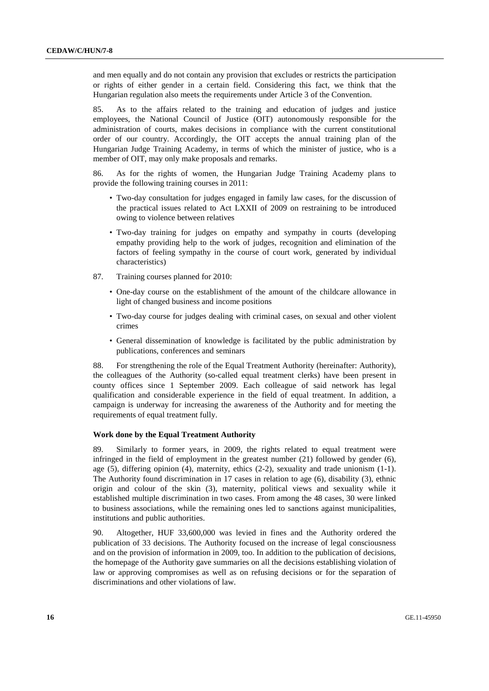and men equally and do not contain any provision that excludes or restricts the participation or rights of either gender in a certain field. Considering this fact, we think that the Hungarian regulation also meets the requirements under Article 3 of the Convention.

85. As to the affairs related to the training and education of judges and justice employees, the National Council of Justice (OIT) autonomously responsible for the administration of courts, makes decisions in compliance with the current constitutional order of our country. Accordingly, the OIT accepts the annual training plan of the Hungarian Judge Training Academy, in terms of which the minister of justice, who is a member of OIT, may only make proposals and remarks.

86. As for the rights of women, the Hungarian Judge Training Academy plans to provide the following training courses in 2011:

- Two-day consultation for judges engaged in family law cases, for the discussion of the practical issues related to Act LXXII of 2009 on restraining to be introduced owing to violence between relatives
- Two-day training for judges on empathy and sympathy in courts (developing empathy providing help to the work of judges, recognition and elimination of the factors of feeling sympathy in the course of court work, generated by individual characteristics)
- 87. Training courses planned for 2010:
	- One-day course on the establishment of the amount of the childcare allowance in light of changed business and income positions
	- Two-day course for judges dealing with criminal cases, on sexual and other violent crimes
	- General dissemination of knowledge is facilitated by the public administration by publications, conferences and seminars

88. For strengthening the role of the Equal Treatment Authority (hereinafter: Authority), the colleagues of the Authority (so-called equal treatment clerks) have been present in county offices since 1 September 2009. Each colleague of said network has legal qualification and considerable experience in the field of equal treatment. In addition, a campaign is underway for increasing the awareness of the Authority and for meeting the requirements of equal treatment fully.

#### **Work done by the Equal Treatment Authority**

89. Similarly to former years, in 2009, the rights related to equal treatment were infringed in the field of employment in the greatest number (21) followed by gender (6), age (5), differing opinion (4), maternity, ethics (2-2), sexuality and trade unionism (1-1). The Authority found discrimination in 17 cases in relation to age (6), disability (3), ethnic origin and colour of the skin (3), maternity, political views and sexuality while it established multiple discrimination in two cases. From among the 48 cases, 30 were linked to business associations, while the remaining ones led to sanctions against municipalities, institutions and public authorities.

90. Altogether, HUF 33,600,000 was levied in fines and the Authority ordered the publication of 33 decisions. The Authority focused on the increase of legal consciousness and on the provision of information in 2009, too. In addition to the publication of decisions, the homepage of the Authority gave summaries on all the decisions establishing violation of law or approving compromises as well as on refusing decisions or for the separation of discriminations and other violations of law.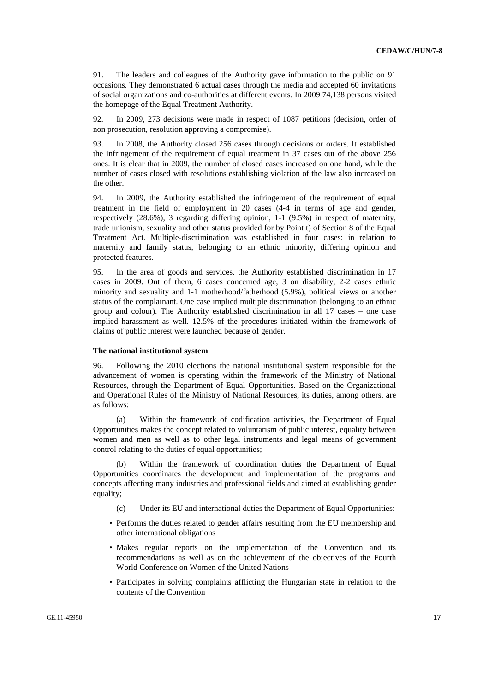91. The leaders and colleagues of the Authority gave information to the public on 91 occasions. They demonstrated 6 actual cases through the media and accepted 60 invitations of social organizations and co-authorities at different events. In 2009 74,138 persons visited the homepage of the Equal Treatment Authority.

92. In 2009, 273 decisions were made in respect of 1087 petitions (decision, order of non prosecution, resolution approving a compromise).

93. In 2008, the Authority closed 256 cases through decisions or orders. It established the infringement of the requirement of equal treatment in 37 cases out of the above 256 ones. It is clear that in 2009, the number of closed cases increased on one hand, while the number of cases closed with resolutions establishing violation of the law also increased on the other.

94. In 2009, the Authority established the infringement of the requirement of equal treatment in the field of employment in 20 cases (4-4 in terms of age and gender, respectively (28.6%), 3 regarding differing opinion, 1-1 (9.5%) in respect of maternity, trade unionism, sexuality and other status provided for by Point t) of Section 8 of the Equal Treatment Act. Multiple-discrimination was established in four cases: in relation to maternity and family status, belonging to an ethnic minority, differing opinion and protected features.

95. In the area of goods and services, the Authority established discrimination in 17 cases in 2009. Out of them, 6 cases concerned age, 3 on disability, 2-2 cases ethnic minority and sexuality and 1-1 motherhood/fatherhood (5.9%), political views or another status of the complainant. One case implied multiple discrimination (belonging to an ethnic group and colour). The Authority established discrimination in all 17 cases – one case implied harassment as well. 12.5% of the procedures initiated within the framework of claims of public interest were launched because of gender.

#### **The national institutional system**

96. Following the 2010 elections the national institutional system responsible for the advancement of women is operating within the framework of the Ministry of National Resources, through the Department of Equal Opportunities. Based on the Organizational and Operational Rules of the Ministry of National Resources, its duties, among others, are as follows:

 (a) Within the framework of codification activities, the Department of Equal Opportunities makes the concept related to voluntarism of public interest, equality between women and men as well as to other legal instruments and legal means of government control relating to the duties of equal opportunities;

 (b) Within the framework of coordination duties the Department of Equal Opportunities coordinates the development and implementation of the programs and concepts affecting many industries and professional fields and aimed at establishing gender equality;

- (c) Under its EU and international duties the Department of Equal Opportunities:
- Performs the duties related to gender affairs resulting from the EU membership and other international obligations
- Makes regular reports on the implementation of the Convention and its recommendations as well as on the achievement of the objectives of the Fourth World Conference on Women of the United Nations
- Participates in solving complaints afflicting the Hungarian state in relation to the contents of the Convention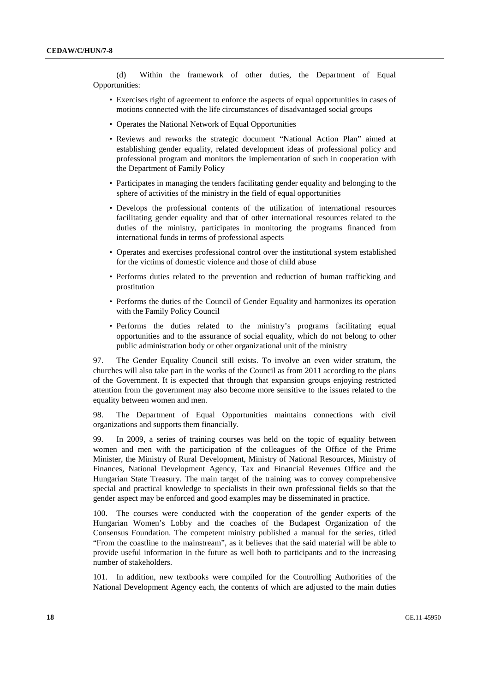(d) Within the framework of other duties, the Department of Equal Opportunities:

- Exercises right of agreement to enforce the aspects of equal opportunities in cases of motions connected with the life circumstances of disadvantaged social groups
- Operates the National Network of Equal Opportunities
- Reviews and reworks the strategic document "National Action Plan" aimed at establishing gender equality, related development ideas of professional policy and professional program and monitors the implementation of such in cooperation with the Department of Family Policy
- Participates in managing the tenders facilitating gender equality and belonging to the sphere of activities of the ministry in the field of equal opportunities
- Develops the professional contents of the utilization of international resources facilitating gender equality and that of other international resources related to the duties of the ministry, participates in monitoring the programs financed from international funds in terms of professional aspects
- Operates and exercises professional control over the institutional system established for the victims of domestic violence and those of child abuse
- Performs duties related to the prevention and reduction of human trafficking and prostitution
- Performs the duties of the Council of Gender Equality and harmonizes its operation with the Family Policy Council
- Performs the duties related to the ministry's programs facilitating equal opportunities and to the assurance of social equality, which do not belong to other public administration body or other organizational unit of the ministry

97. The Gender Equality Council still exists. To involve an even wider stratum, the churches will also take part in the works of the Council as from 2011 according to the plans of the Government. It is expected that through that expansion groups enjoying restricted attention from the government may also become more sensitive to the issues related to the equality between women and men.

98. The Department of Equal Opportunities maintains connections with civil organizations and supports them financially.

99. In 2009, a series of training courses was held on the topic of equality between women and men with the participation of the colleagues of the Office of the Prime Minister, the Ministry of Rural Development, Ministry of National Resources, Ministry of Finances, National Development Agency, Tax and Financial Revenues Office and the Hungarian State Treasury. The main target of the training was to convey comprehensive special and practical knowledge to specialists in their own professional fields so that the gender aspect may be enforced and good examples may be disseminated in practice.

100. The courses were conducted with the cooperation of the gender experts of the Hungarian Women's Lobby and the coaches of the Budapest Organization of the Consensus Foundation. The competent ministry published a manual for the series, titled "From the coastline to the mainstream", as it believes that the said material will be able to provide useful information in the future as well both to participants and to the increasing number of stakeholders.

101. In addition, new textbooks were compiled for the Controlling Authorities of the National Development Agency each, the contents of which are adjusted to the main duties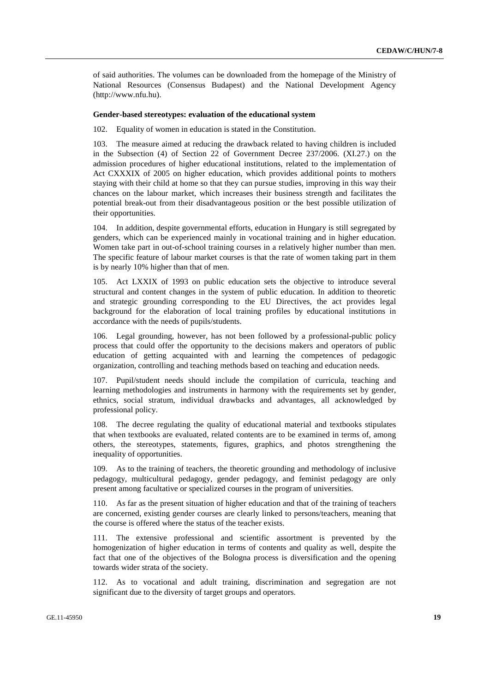of said authorities. The volumes can be downloaded from the homepage of the Ministry of National Resources (Consensus Budapest) and the National Development Agency (http://www.nfu.hu).

#### **Gender-based stereotypes: evaluation of the educational system**

102. Equality of women in education is stated in the Constitution.

103. The measure aimed at reducing the drawback related to having children is included in the Subsection (4) of Section 22 of Government Decree 237/2006. (XI.27.) on the admission procedures of higher educational institutions, related to the implementation of Act CXXXIX of 2005 on higher education, which provides additional points to mothers staying with their child at home so that they can pursue studies, improving in this way their chances on the labour market, which increases their business strength and facilitates the potential break-out from their disadvantageous position or the best possible utilization of their opportunities.

104. In addition, despite governmental efforts, education in Hungary is still segregated by genders, which can be experienced mainly in vocational training and in higher education. Women take part in out-of-school training courses in a relatively higher number than men. The specific feature of labour market courses is that the rate of women taking part in them is by nearly 10% higher than that of men.

105. Act LXXIX of 1993 on public education sets the objective to introduce several structural and content changes in the system of public education. In addition to theoretic and strategic grounding corresponding to the EU Directives, the act provides legal background for the elaboration of local training profiles by educational institutions in accordance with the needs of pupils/students.

106. Legal grounding, however, has not been followed by a professional-public policy process that could offer the opportunity to the decisions makers and operators of public education of getting acquainted with and learning the competences of pedagogic organization, controlling and teaching methods based on teaching and education needs.

107. Pupil/student needs should include the compilation of curricula, teaching and learning methodologies and instruments in harmony with the requirements set by gender, ethnics, social stratum, individual drawbacks and advantages, all acknowledged by professional policy.

108. The decree regulating the quality of educational material and textbooks stipulates that when textbooks are evaluated, related contents are to be examined in terms of, among others, the stereotypes, statements, figures, graphics, and photos strengthening the inequality of opportunities.

109. As to the training of teachers, the theoretic grounding and methodology of inclusive pedagogy, multicultural pedagogy, gender pedagogy, and feminist pedagogy are only present among facultative or specialized courses in the program of universities.

110. As far as the present situation of higher education and that of the training of teachers are concerned, existing gender courses are clearly linked to persons/teachers, meaning that the course is offered where the status of the teacher exists.

111. The extensive professional and scientific assortment is prevented by the homogenization of higher education in terms of contents and quality as well, despite the fact that one of the objectives of the Bologna process is diversification and the opening towards wider strata of the society.

112. As to vocational and adult training, discrimination and segregation are not significant due to the diversity of target groups and operators.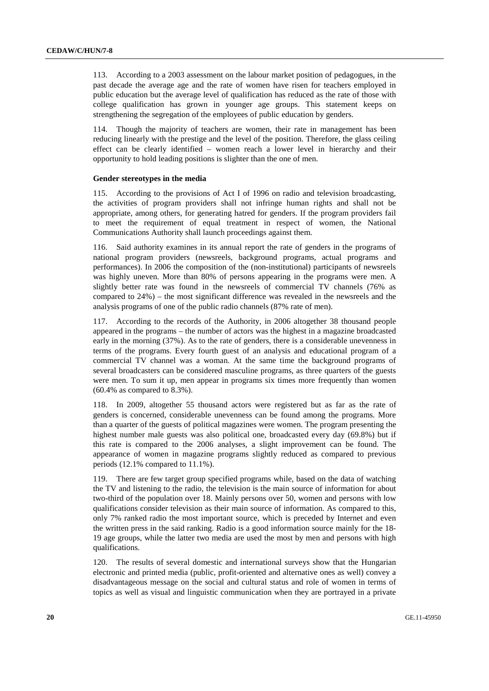113. According to a 2003 assessment on the labour market position of pedagogues, in the past decade the average age and the rate of women have risen for teachers employed in public education but the average level of qualification has reduced as the rate of those with college qualification has grown in younger age groups. This statement keeps on strengthening the segregation of the employees of public education by genders.

114. Though the majority of teachers are women, their rate in management has been reducing linearly with the prestige and the level of the position. Therefore, the glass ceiling effect can be clearly identified – women reach a lower level in hierarchy and their opportunity to hold leading positions is slighter than the one of men.

#### **Gender stereotypes in the media**

115. According to the provisions of Act I of 1996 on radio and television broadcasting, the activities of program providers shall not infringe human rights and shall not be appropriate, among others, for generating hatred for genders. If the program providers fail to meet the requirement of equal treatment in respect of women, the National Communications Authority shall launch proceedings against them.

116. Said authority examines in its annual report the rate of genders in the programs of national program providers (newsreels, background programs, actual programs and performances). In 2006 the composition of the (non-institutional) participants of newsreels was highly uneven. More than 80% of persons appearing in the programs were men. A slightly better rate was found in the newsreels of commercial TV channels (76% as compared to 24%) – the most significant difference was revealed in the newsreels and the analysis programs of one of the public radio channels (87% rate of men).

117. According to the records of the Authority, in 2006 altogether 38 thousand people appeared in the programs – the number of actors was the highest in a magazine broadcasted early in the morning (37%). As to the rate of genders, there is a considerable unevenness in terms of the programs. Every fourth guest of an analysis and educational program of a commercial TV channel was a woman. At the same time the background programs of several broadcasters can be considered masculine programs, as three quarters of the guests were men. To sum it up, men appear in programs six times more frequently than women (60.4% as compared to 8.3%).

118. In 2009, altogether 55 thousand actors were registered but as far as the rate of genders is concerned, considerable unevenness can be found among the programs. More than a quarter of the guests of political magazines were women. The program presenting the highest number male guests was also political one, broadcasted every day (69.8%) but if this rate is compared to the 2006 analyses, a slight improvement can be found. The appearance of women in magazine programs slightly reduced as compared to previous periods (12.1% compared to 11.1%).

119. There are few target group specified programs while, based on the data of watching the TV and listening to the radio, the television is the main source of information for about two-third of the population over 18. Mainly persons over 50, women and persons with low qualifications consider television as their main source of information. As compared to this, only 7% ranked radio the most important source, which is preceded by Internet and even the written press in the said ranking. Radio is a good information source mainly for the 18- 19 age groups, while the latter two media are used the most by men and persons with high qualifications.

120. The results of several domestic and international surveys show that the Hungarian electronic and printed media (public, profit-oriented and alternative ones as well) convey a disadvantageous message on the social and cultural status and role of women in terms of topics as well as visual and linguistic communication when they are portrayed in a private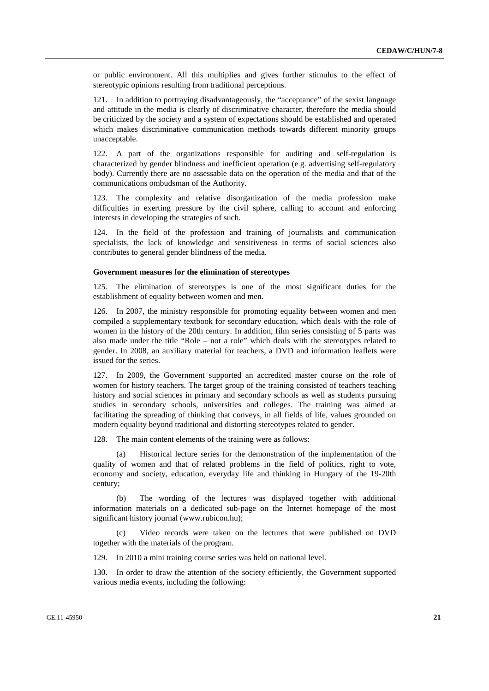or public environment. All this multiplies and gives further stimulus to the effect of stereotypic opinions resulting from traditional perceptions.

121. In addition to portraying disadvantageously, the "acceptance" of the sexist language and attitude in the media is clearly of discriminative character, therefore the media should be criticized by the society and a system of expectations should be established and operated which makes discriminative communication methods towards different minority groups unacceptable.

122. A part of the organizations responsible for auditing and self-regulation is characterized by gender blindness and inefficient operation (e.g. advertising self-regulatory body). Currently there are no assessable data on the operation of the media and that of the communications ombudsman of the Authority.

123. The complexity and relative disorganization of the media profession make difficulties in exerting pressure by the civil sphere, calling to account and enforcing interests in developing the strategies of such.

124. In the field of the profession and training of journalists and communication specialists, the lack of knowledge and sensitiveness in terms of social sciences also contributes to general gender blindness of the media.

#### **Government measures for the elimination of stereotypes**

125. The elimination of stereotypes is one of the most significant duties for the establishment of equality between women and men.

126. In 2007, the ministry responsible for promoting equality between women and men compiled a supplementary textbook for secondary education, which deals with the role of women in the history of the 20th century. In addition, film series consisting of 5 parts was also made under the title "Role – not a role" which deals with the stereotypes related to gender. In 2008, an auxiliary material for teachers, a DVD and information leaflets were issued for the series.

127. In 2009, the Government supported an accredited master course on the role of women for history teachers. The target group of the training consisted of teachers teaching history and social sciences in primary and secondary schools as well as students pursuing studies in secondary schools, universities and colleges. The training was aimed at facilitating the spreading of thinking that conveys, in all fields of life, values grounded on modern equality beyond traditional and distorting stereotypes related to gender.

128. The main content elements of the training were as follows:

Historical lecture series for the demonstration of the implementation of the quality of women and that of related problems in the field of politics, right to vote, economy and society, education, everyday life and thinking in Hungary of the 19-20th century;

 (b) The wording of the lectures was displayed together with additional information materials on a dedicated sub-page on the Internet homepage of the most significant history journal (www.rubicon.hu);

 (c) Video records were taken on the lectures that were published on DVD together with the materials of the program.

129. In 2010 a mini training course series was held on national level.

130. In order to draw the attention of the society efficiently, the Government supported various media events, including the following: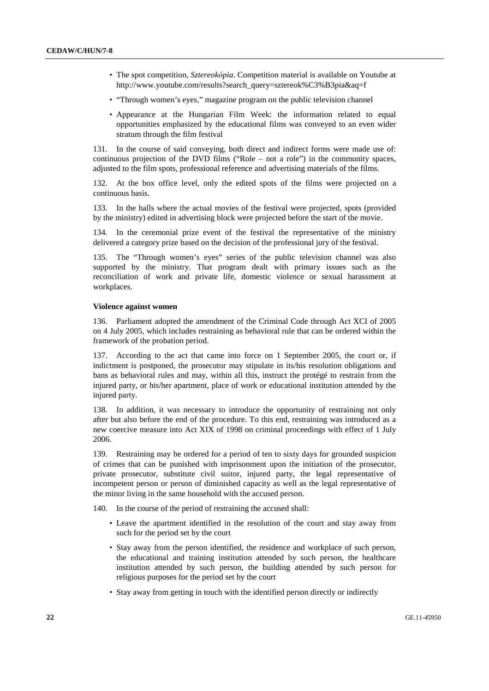- The spot competition, *Sztereokόpia*. Competition material is available on Youtube at http://www.youtube.com/results?search\_query=sztereok%C3%B3pia&aq=f
- "Through women's eyes," magazine program on the public television channel
- Appearance at the Hungarian Film Week: the information related to equal opportunities emphasized by the educational films was conveyed to an even wider stratum through the film festival

131. In the course of said conveying, both direct and indirect forms were made use of: continuous projection of the DVD films ("Role – not a role") in the community spaces, adjusted to the film spots, professional reference and advertising materials of the films.

132. At the box office level, only the edited spots of the films were projected on a continuous basis.

133. In the halls where the actual movies of the festival were projected, spots (provided by the ministry) edited in advertising block were projected before the start of the movie.

134. In the ceremonial prize event of the festival the representative of the ministry delivered a category prize based on the decision of the professional jury of the festival.

135. The "Through women's eyes" series of the public television channel was also supported by the ministry. That program dealt with primary issues such as the reconciliation of work and private life, domestic violence or sexual harassment at workplaces.

#### **Violence against women**

136. Parliament adopted the amendment of the Criminal Code through Act XCI of 2005 on 4 July 2005, which includes restraining as behavioral rule that can be ordered within the framework of the probation period.

137. According to the act that came into force on 1 September 2005, the court or, if indictment is postponed, the prosecutor may stipulate in its/his resolution obligations and bans as behavioral rules and may, within all this, instruct the protégé to restrain from the injured party, or his/her apartment, place of work or educational institution attended by the injured party.

138. In addition, it was necessary to introduce the opportunity of restraining not only after but also before the end of the procedure. To this end, restraining was introduced as a new coercive measure into Act XIX of 1998 on criminal proceedings with effect of 1 July 2006.

139. Restraining may be ordered for a period of ten to sixty days for grounded suspicion of crimes that can be punished with imprisonment upon the initiation of the prosecutor, private prosecutor, substitute civil suitor, injured party, the legal representative of incompetent person or person of diminished capacity as well as the legal representative of the minor living in the same household with the accused person.

140. In the course of the period of restraining the accused shall:

- Leave the apartment identified in the resolution of the court and stay away from such for the period set by the court
- Stay away from the person identified, the residence and workplace of such person, the educational and training institution attended by such person, the healthcare institution attended by such person, the building attended by such person for religious purposes for the period set by the court
- Stay away from getting in touch with the identified person directly or indirectly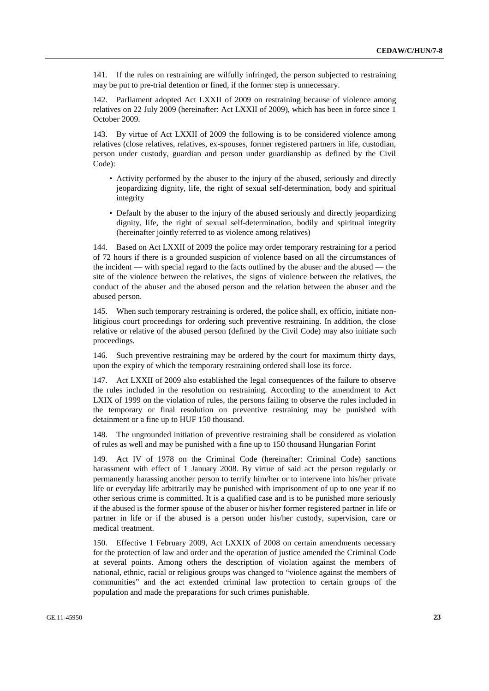141. If the rules on restraining are wilfully infringed, the person subjected to restraining may be put to pre-trial detention or fined, if the former step is unnecessary.

142. Parliament adopted Act LXXII of 2009 on restraining because of violence among relatives on 22 July 2009 (hereinafter: Act LXXII of 2009), which has been in force since 1 October 2009.

143. By virtue of Act LXXII of 2009 the following is to be considered violence among relatives (close relatives, relatives, ex-spouses, former registered partners in life, custodian, person under custody, guardian and person under guardianship as defined by the Civil Code):

- Activity performed by the abuser to the injury of the abused, seriously and directly jeopardizing dignity, life, the right of sexual self-determination, body and spiritual integrity
- Default by the abuser to the injury of the abused seriously and directly jeopardizing dignity, life, the right of sexual self-determination, bodily and spiritual integrity (hereinafter jointly referred to as violence among relatives)

144. Based on Act LXXII of 2009 the police may order temporary restraining for a period of 72 hours if there is a grounded suspicion of violence based on all the circumstances of the incident — with special regard to the facts outlined by the abuser and the abused — the site of the violence between the relatives, the signs of violence between the relatives, the conduct of the abuser and the abused person and the relation between the abuser and the abused person.

145. When such temporary restraining is ordered, the police shall, ex officio, initiate nonlitigious court proceedings for ordering such preventive restraining. In addition, the close relative or relative of the abused person (defined by the Civil Code) may also initiate such proceedings.

146. Such preventive restraining may be ordered by the court for maximum thirty days, upon the expiry of which the temporary restraining ordered shall lose its force.

147. Act LXXII of 2009 also established the legal consequences of the failure to observe the rules included in the resolution on restraining. According to the amendment to Act LXIX of 1999 on the violation of rules, the persons failing to observe the rules included in the temporary or final resolution on preventive restraining may be punished with detainment or a fine up to HUF 150 thousand.

148. The ungrounded initiation of preventive restraining shall be considered as violation of rules as well and may be punished with a fine up to 150 thousand Hungarian Forint

149. Act IV of 1978 on the Criminal Code (hereinafter: Criminal Code) sanctions harassment with effect of 1 January 2008. By virtue of said act the person regularly or permanently harassing another person to terrify him/her or to intervene into his/her private life or everyday life arbitrarily may be punished with imprisonment of up to one year if no other serious crime is committed. It is a qualified case and is to be punished more seriously if the abused is the former spouse of the abuser or his/her former registered partner in life or partner in life or if the abused is a person under his/her custody, supervision, care or medical treatment.

150. Effective 1 February 2009, Act LXXIX of 2008 on certain amendments necessary for the protection of law and order and the operation of justice amended the Criminal Code at several points. Among others the description of violation against the members of national, ethnic, racial or religious groups was changed to "violence against the members of communities" and the act extended criminal law protection to certain groups of the population and made the preparations for such crimes punishable.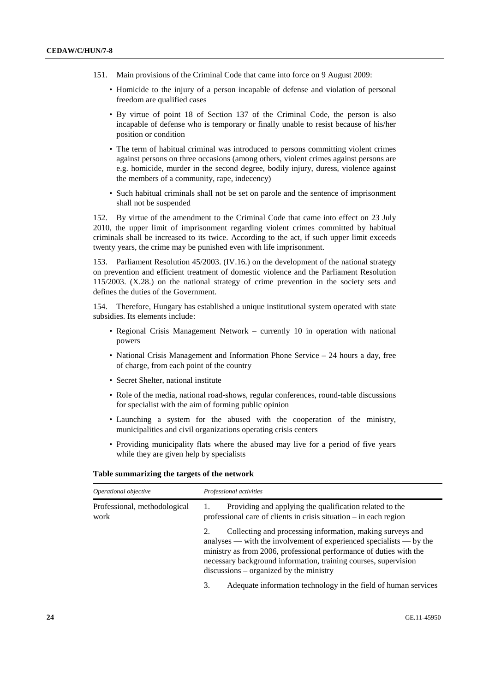- 151. Main provisions of the Criminal Code that came into force on 9 August 2009:
	- Homicide to the injury of a person incapable of defense and violation of personal freedom are qualified cases
	- By virtue of point 18 of Section 137 of the Criminal Code, the person is also incapable of defense who is temporary or finally unable to resist because of his/her position or condition
	- The term of habitual criminal was introduced to persons committing violent crimes against persons on three occasions (among others, violent crimes against persons are e.g. homicide, murder in the second degree, bodily injury, duress, violence against the members of a community, rape, indecency)
	- Such habitual criminals shall not be set on parole and the sentence of imprisonment shall not be suspended

152. By virtue of the amendment to the Criminal Code that came into effect on 23 July 2010, the upper limit of imprisonment regarding violent crimes committed by habitual criminals shall be increased to its twice. According to the act, if such upper limit exceeds twenty years, the crime may be punished even with life imprisonment.

153. Parliament Resolution 45/2003. (IV.16.) on the development of the national strategy on prevention and efficient treatment of domestic violence and the Parliament Resolution 115/2003. (X.28.) on the national strategy of crime prevention in the society sets and defines the duties of the Government.

154. Therefore, Hungary has established a unique institutional system operated with state subsidies. Its elements include:

- Regional Crisis Management Network currently 10 in operation with national powers
- National Crisis Management and Information Phone Service 24 hours a day, free of charge, from each point of the country
- Secret Shelter, national institute
- Role of the media, national road-shows, regular conferences, round-table discussions for specialist with the aim of forming public opinion
- Launching a system for the abused with the cooperation of the ministry, municipalities and civil organizations operating crisis centers
- Providing municipality flats where the abused may live for a period of five years while they are given help by specialists

#### **Table summarizing the targets of the network**

| Operational objective                | Professional activities                                                                                                                                                                                                                                                                                                      |  |  |  |
|--------------------------------------|------------------------------------------------------------------------------------------------------------------------------------------------------------------------------------------------------------------------------------------------------------------------------------------------------------------------------|--|--|--|
| Professional, methodological<br>work | Providing and applying the qualification related to the<br>professional care of clients in crisis situation – in each region                                                                                                                                                                                                 |  |  |  |
|                                      | Collecting and processing information, making surveys and<br>2.<br>analyses — with the involvement of experienced specialists — by the<br>ministry as from 2006, professional performance of duties with the<br>necessary background information, training courses, supervision<br>$discussions - organized by the ministry$ |  |  |  |
|                                      | Adequate information technology in the field of human services<br>3.                                                                                                                                                                                                                                                         |  |  |  |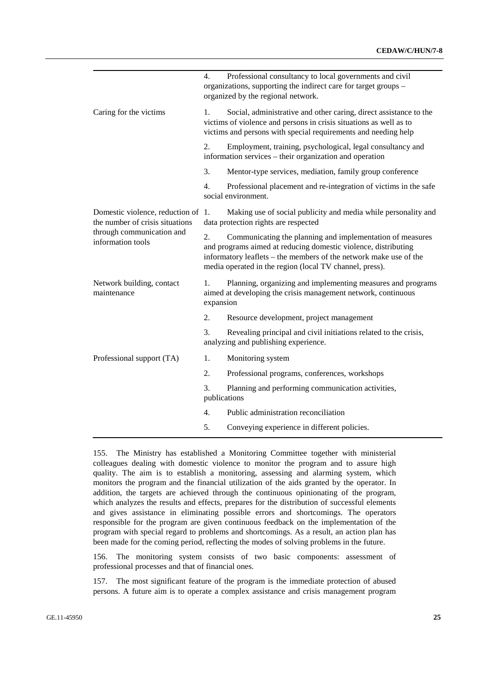|                                                                       | Professional consultancy to local governments and civil<br>4.<br>organizations, supporting the indirect care for target groups -<br>organized by the regional network.                                          |                                                                                                                                                                                                                                                             |  |  |
|-----------------------------------------------------------------------|-----------------------------------------------------------------------------------------------------------------------------------------------------------------------------------------------------------------|-------------------------------------------------------------------------------------------------------------------------------------------------------------------------------------------------------------------------------------------------------------|--|--|
| Caring for the victims                                                | Social, administrative and other caring, direct assistance to the<br>1.<br>victims of violence and persons in crisis situations as well as to<br>victims and persons with special requirements and needing help |                                                                                                                                                                                                                                                             |  |  |
|                                                                       | 2.                                                                                                                                                                                                              | Employment, training, psychological, legal consultancy and<br>information services – their organization and operation                                                                                                                                       |  |  |
|                                                                       | 3.                                                                                                                                                                                                              | Mentor-type services, mediation, family group conference                                                                                                                                                                                                    |  |  |
|                                                                       | 4.                                                                                                                                                                                                              | Professional placement and re-integration of victims in the safe<br>social environment.                                                                                                                                                                     |  |  |
| Domestic violence, reduction of 1.<br>the number of crisis situations | Making use of social publicity and media while personality and<br>data protection rights are respected                                                                                                          |                                                                                                                                                                                                                                                             |  |  |
| through communication and<br>information tools                        | 2.                                                                                                                                                                                                              | Communicating the planning and implementation of measures<br>and programs aimed at reducing domestic violence, distributing<br>informatory leaflets - the members of the network make use of the<br>media operated in the region (local TV channel, press). |  |  |
| Network building, contact<br>maintenance                              | 1.<br>expansion                                                                                                                                                                                                 | Planning, organizing and implementing measures and programs<br>aimed at developing the crisis management network, continuous                                                                                                                                |  |  |
|                                                                       | 2.                                                                                                                                                                                                              | Resource development, project management                                                                                                                                                                                                                    |  |  |
|                                                                       | 3.                                                                                                                                                                                                              | Revealing principal and civil initiations related to the crisis,<br>analyzing and publishing experience.                                                                                                                                                    |  |  |
| Professional support (TA)                                             | 1.                                                                                                                                                                                                              | Monitoring system                                                                                                                                                                                                                                           |  |  |
|                                                                       | 2.                                                                                                                                                                                                              | Professional programs, conferences, workshops                                                                                                                                                                                                               |  |  |
|                                                                       | 3.<br>publications                                                                                                                                                                                              | Planning and performing communication activities,                                                                                                                                                                                                           |  |  |
|                                                                       | 4.                                                                                                                                                                                                              | Public administration reconciliation                                                                                                                                                                                                                        |  |  |
|                                                                       | 5.                                                                                                                                                                                                              | Conveying experience in different policies.                                                                                                                                                                                                                 |  |  |

155. The Ministry has established a Monitoring Committee together with ministerial colleagues dealing with domestic violence to monitor the program and to assure high quality. The aim is to establish a monitoring, assessing and alarming system, which monitors the program and the financial utilization of the aids granted by the operator. In addition, the targets are achieved through the continuous opinionating of the program, which analyzes the results and effects, prepares for the distribution of successful elements and gives assistance in eliminating possible errors and shortcomings. The operators responsible for the program are given continuous feedback on the implementation of the program with special regard to problems and shortcomings. As a result, an action plan has been made for the coming period, reflecting the modes of solving problems in the future.

156. The monitoring system consists of two basic components: assessment of professional processes and that of financial ones.

157. The most significant feature of the program is the immediate protection of abused persons. A future aim is to operate a complex assistance and crisis management program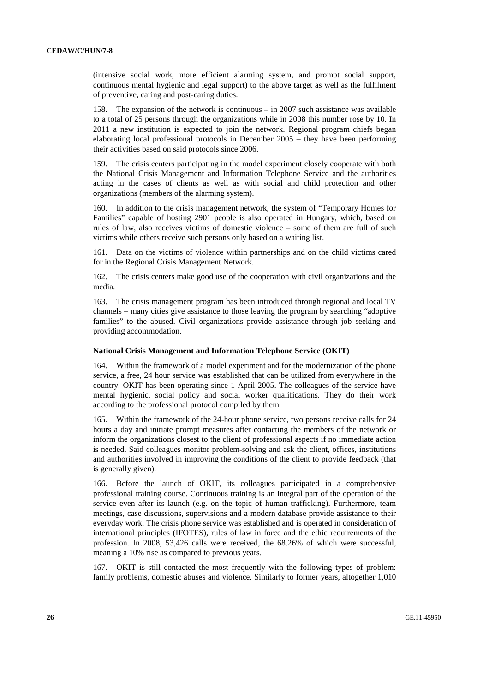(intensive social work, more efficient alarming system, and prompt social support, continuous mental hygienic and legal support) to the above target as well as the fulfilment of preventive, caring and post-caring duties.

158. The expansion of the network is continuous – in 2007 such assistance was available to a total of 25 persons through the organizations while in 2008 this number rose by 10. In 2011 a new institution is expected to join the network. Regional program chiefs began elaborating local professional protocols in December 2005 – they have been performing their activities based on said protocols since 2006.

159. The crisis centers participating in the model experiment closely cooperate with both the National Crisis Management and Information Telephone Service and the authorities acting in the cases of clients as well as with social and child protection and other organizations (members of the alarming system).

160. In addition to the crisis management network, the system of "Temporary Homes for Families" capable of hosting 2901 people is also operated in Hungary, which, based on rules of law, also receives victims of domestic violence – some of them are full of such victims while others receive such persons only based on a waiting list.

161. Data on the victims of violence within partnerships and on the child victims cared for in the Regional Crisis Management Network.

162. The crisis centers make good use of the cooperation with civil organizations and the media.

163. The crisis management program has been introduced through regional and local TV channels – many cities give assistance to those leaving the program by searching "adoptive families" to the abused. Civil organizations provide assistance through job seeking and providing accommodation.

#### **National Crisis Management and Information Telephone Service (OKIT)**

164. Within the framework of a model experiment and for the modernization of the phone service, a free, 24 hour service was established that can be utilized from everywhere in the country. OKIT has been operating since 1 April 2005. The colleagues of the service have mental hygienic, social policy and social worker qualifications. They do their work according to the professional protocol compiled by them.

165. Within the framework of the 24-hour phone service, two persons receive calls for 24 hours a day and initiate prompt measures after contacting the members of the network or inform the organizations closest to the client of professional aspects if no immediate action is needed. Said colleagues monitor problem-solving and ask the client, offices, institutions and authorities involved in improving the conditions of the client to provide feedback (that is generally given).

166. Before the launch of OKIT, its colleagues participated in a comprehensive professional training course. Continuous training is an integral part of the operation of the service even after its launch (e.g. on the topic of human trafficking). Furthermore, team meetings, case discussions, supervisions and a modern database provide assistance to their everyday work. The crisis phone service was established and is operated in consideration of international principles (IFOTES), rules of law in force and the ethic requirements of the profession. In 2008, 53,426 calls were received, the 68.26% of which were successful, meaning a 10% rise as compared to previous years.

167. OKIT is still contacted the most frequently with the following types of problem: family problems, domestic abuses and violence. Similarly to former years, altogether 1,010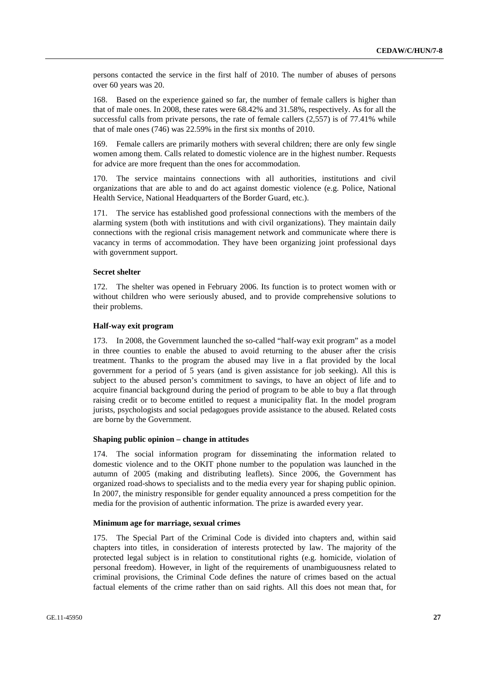persons contacted the service in the first half of 2010. The number of abuses of persons over 60 years was 20.

168. Based on the experience gained so far, the number of female callers is higher than that of male ones. In 2008, these rates were 68.42% and 31.58%, respectively. As for all the successful calls from private persons, the rate of female callers (2,557) is of 77.41% while that of male ones (746) was 22.59% in the first six months of 2010.

169. Female callers are primarily mothers with several children; there are only few single women among them. Calls related to domestic violence are in the highest number. Requests for advice are more frequent than the ones for accommodation.

170. The service maintains connections with all authorities, institutions and civil organizations that are able to and do act against domestic violence (e.g. Police, National Health Service, National Headquarters of the Border Guard, etc.).

171. The service has established good professional connections with the members of the alarming system (both with institutions and with civil organizations). They maintain daily connections with the regional crisis management network and communicate where there is vacancy in terms of accommodation. They have been organizing joint professional days with government support.

#### **Secret shelter**

172. The shelter was opened in February 2006. Its function is to protect women with or without children who were seriously abused, and to provide comprehensive solutions to their problems.

#### **Half-way exit program**

173. In 2008, the Government launched the so-called "half-way exit program" as a model in three counties to enable the abused to avoid returning to the abuser after the crisis treatment. Thanks to the program the abused may live in a flat provided by the local government for a period of 5 years (and is given assistance for job seeking). All this is subject to the abused person's commitment to savings, to have an object of life and to acquire financial background during the period of program to be able to buy a flat through raising credit or to become entitled to request a municipality flat. In the model program jurists, psychologists and social pedagogues provide assistance to the abused. Related costs are borne by the Government.

#### **Shaping public opinion – change in attitudes**

174. The social information program for disseminating the information related to domestic violence and to the OKIT phone number to the population was launched in the autumn of 2005 (making and distributing leaflets). Since 2006, the Government has organized road-shows to specialists and to the media every year for shaping public opinion. In 2007, the ministry responsible for gender equality announced a press competition for the media for the provision of authentic information. The prize is awarded every year.

#### **Minimum age for marriage, sexual crimes**

175. The Special Part of the Criminal Code is divided into chapters and, within said chapters into titles, in consideration of interests protected by law. The majority of the protected legal subject is in relation to constitutional rights (e.g. homicide, violation of personal freedom). However, in light of the requirements of unambiguousness related to criminal provisions, the Criminal Code defines the nature of crimes based on the actual factual elements of the crime rather than on said rights. All this does not mean that, for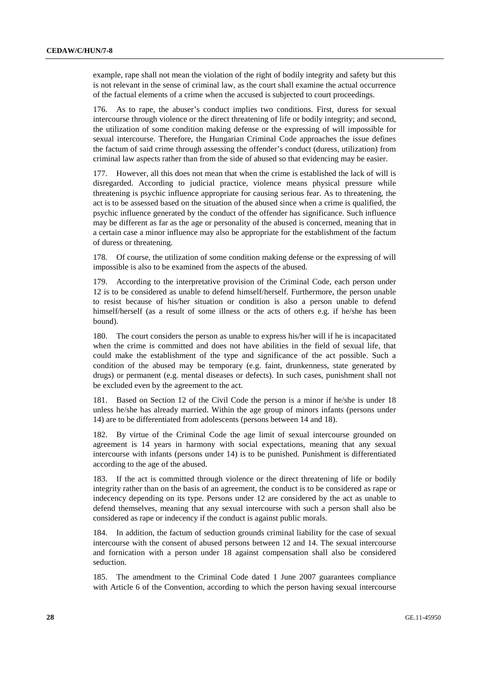example, rape shall not mean the violation of the right of bodily integrity and safety but this is not relevant in the sense of criminal law, as the court shall examine the actual occurrence of the factual elements of a crime when the accused is subjected to court proceedings.

176. As to rape, the abuser's conduct implies two conditions. First, duress for sexual intercourse through violence or the direct threatening of life or bodily integrity; and second, the utilization of some condition making defense or the expressing of will impossible for sexual intercourse. Therefore, the Hungarian Criminal Code approaches the issue defines the factum of said crime through assessing the offender's conduct (duress, utilization) from criminal law aspects rather than from the side of abused so that evidencing may be easier.

177. However, all this does not mean that when the crime is established the lack of will is disregarded. According to judicial practice, violence means physical pressure while threatening is psychic influence appropriate for causing serious fear. As to threatening, the act is to be assessed based on the situation of the abused since when a crime is qualified, the psychic influence generated by the conduct of the offender has significance. Such influence may be different as far as the age or personality of the abused is concerned, meaning that in a certain case a minor influence may also be appropriate for the establishment of the factum of duress or threatening.

178. Of course, the utilization of some condition making defense or the expressing of will impossible is also to be examined from the aspects of the abused.

179. According to the interpretative provision of the Criminal Code, each person under 12 is to be considered as unable to defend himself/herself. Furthermore, the person unable to resist because of his/her situation or condition is also a person unable to defend himself/herself (as a result of some illness or the acts of others e.g. if he/she has been bound).

180. The court considers the person as unable to express his/her will if he is incapacitated when the crime is committed and does not have abilities in the field of sexual life, that could make the establishment of the type and significance of the act possible. Such a condition of the abused may be temporary (e.g. faint, drunkenness, state generated by drugs) or permanent (e.g. mental diseases or defects). In such cases, punishment shall not be excluded even by the agreement to the act.

181. Based on Section 12 of the Civil Code the person is a minor if he/she is under 18 unless he/she has already married. Within the age group of minors infants (persons under 14) are to be differentiated from adolescents (persons between 14 and 18).

182. By virtue of the Criminal Code the age limit of sexual intercourse grounded on agreement is 14 years in harmony with social expectations, meaning that any sexual intercourse with infants (persons under 14) is to be punished. Punishment is differentiated according to the age of the abused.

183. If the act is committed through violence or the direct threatening of life or bodily integrity rather than on the basis of an agreement, the conduct is to be considered as rape or indecency depending on its type. Persons under 12 are considered by the act as unable to defend themselves, meaning that any sexual intercourse with such a person shall also be considered as rape or indecency if the conduct is against public morals.

184. In addition, the factum of seduction grounds criminal liability for the case of sexual intercourse with the consent of abused persons between 12 and 14. The sexual intercourse and fornication with a person under 18 against compensation shall also be considered seduction.

185. The amendment to the Criminal Code dated 1 June 2007 guarantees compliance with Article 6 of the Convention, according to which the person having sexual intercourse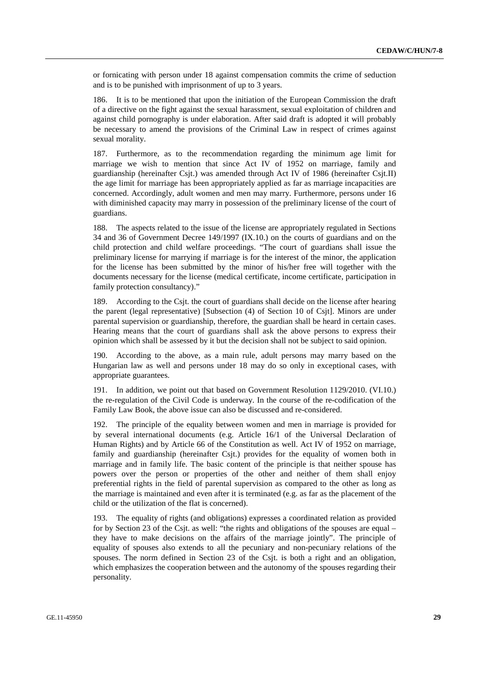or fornicating with person under 18 against compensation commits the crime of seduction and is to be punished with imprisonment of up to 3 years.

186. It is to be mentioned that upon the initiation of the European Commission the draft of a directive on the fight against the sexual harassment, sexual exploitation of children and against child pornography is under elaboration. After said draft is adopted it will probably be necessary to amend the provisions of the Criminal Law in respect of crimes against sexual morality.

187. Furthermore, as to the recommendation regarding the minimum age limit for marriage we wish to mention that since Act IV of 1952 on marriage, family and guardianship (hereinafter Csjt.) was amended through Act IV of 1986 (hereinafter Csjt.II) the age limit for marriage has been appropriately applied as far as marriage incapacities are concerned. Accordingly, adult women and men may marry. Furthermore, persons under 16 with diminished capacity may marry in possession of the preliminary license of the court of guardians.

188. The aspects related to the issue of the license are appropriately regulated in Sections 34 and 36 of Government Decree 149/1997 (IX.10.) on the courts of guardians and on the child protection and child welfare proceedings. "The court of guardians shall issue the preliminary license for marrying if marriage is for the interest of the minor, the application for the license has been submitted by the minor of his/her free will together with the documents necessary for the license (medical certificate, income certificate, participation in family protection consultancy)."

189. According to the Csjt. the court of guardians shall decide on the license after hearing the parent (legal representative) [Subsection (4) of Section 10 of Csjt]. Minors are under parental supervision or guardianship, therefore, the guardian shall be heard in certain cases. Hearing means that the court of guardians shall ask the above persons to express their opinion which shall be assessed by it but the decision shall not be subject to said opinion.

190. According to the above, as a main rule, adult persons may marry based on the Hungarian law as well and persons under 18 may do so only in exceptional cases, with appropriate guarantees.

191. In addition, we point out that based on Government Resolution 1129/2010. (VI.10.) the re-regulation of the Civil Code is underway. In the course of the re-codification of the Family Law Book, the above issue can also be discussed and re-considered.

192. The principle of the equality between women and men in marriage is provided for by several international documents (e.g. Article 16/1 of the Universal Declaration of Human Rights) and by Article 66 of the Constitution as well. Act IV of 1952 on marriage, family and guardianship (hereinafter Csjt.) provides for the equality of women both in marriage and in family life. The basic content of the principle is that neither spouse has powers over the person or properties of the other and neither of them shall enjoy preferential rights in the field of parental supervision as compared to the other as long as the marriage is maintained and even after it is terminated (e.g. as far as the placement of the child or the utilization of the flat is concerned).

193. The equality of rights (and obligations) expresses a coordinated relation as provided for by Section 23 of the Csjt. as well: "the rights and obligations of the spouses are equal – they have to make decisions on the affairs of the marriage jointly". The principle of equality of spouses also extends to all the pecuniary and non-pecuniary relations of the spouses. The norm defined in Section 23 of the Csjt. is both a right and an obligation, which emphasizes the cooperation between and the autonomy of the spouses regarding their personality.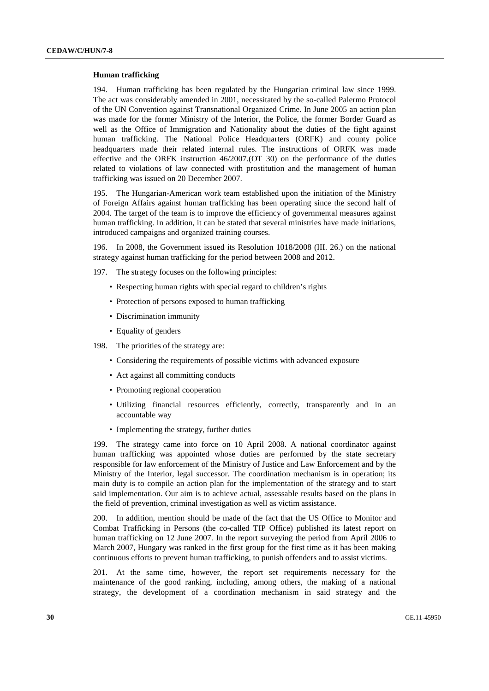#### **Human trafficking**

194. Human trafficking has been regulated by the Hungarian criminal law since 1999. The act was considerably amended in 2001, necessitated by the so-called Palermo Protocol of the UN Convention against Transnational Organized Crime. In June 2005 an action plan was made for the former Ministry of the Interior, the Police, the former Border Guard as well as the Office of Immigration and Nationality about the duties of the fight against human trafficking. The National Police Headquarters (ORFK) and county police headquarters made their related internal rules. The instructions of ORFK was made effective and the ORFK instruction 46/2007.(OT 30) on the performance of the duties related to violations of law connected with prostitution and the management of human trafficking was issued on 20 December 2007.

195. The Hungarian-American work team established upon the initiation of the Ministry of Foreign Affairs against human trafficking has been operating since the second half of 2004. The target of the team is to improve the efficiency of governmental measures against human trafficking. In addition, it can be stated that several ministries have made initiations, introduced campaigns and organized training courses.

196. In 2008, the Government issued its Resolution 1018/2008 (III. 26.) on the national strategy against human trafficking for the period between 2008 and 2012.

- 197. The strategy focuses on the following principles:
	- Respecting human rights with special regard to children's rights
	- Protection of persons exposed to human trafficking
	- Discrimination immunity
	- Equality of genders

198. The priorities of the strategy are:

- Considering the requirements of possible victims with advanced exposure
- Act against all committing conducts
- Promoting regional cooperation
- Utilizing financial resources efficiently, correctly, transparently and in an accountable way
- Implementing the strategy, further duties

199. The strategy came into force on 10 April 2008. A national coordinator against human trafficking was appointed whose duties are performed by the state secretary responsible for law enforcement of the Ministry of Justice and Law Enforcement and by the Ministry of the Interior, legal successor. The coordination mechanism is in operation; its main duty is to compile an action plan for the implementation of the strategy and to start said implementation. Our aim is to achieve actual, assessable results based on the plans in the field of prevention, criminal investigation as well as victim assistance.

200. In addition, mention should be made of the fact that the US Office to Monitor and Combat Trafficking in Persons (the co-called TIP Office) published its latest report on human trafficking on 12 June 2007. In the report surveying the period from April 2006 to March 2007, Hungary was ranked in the first group for the first time as it has been making continuous efforts to prevent human trafficking, to punish offenders and to assist victims.

201. At the same time, however, the report set requirements necessary for the maintenance of the good ranking, including, among others, the making of a national strategy, the development of a coordination mechanism in said strategy and the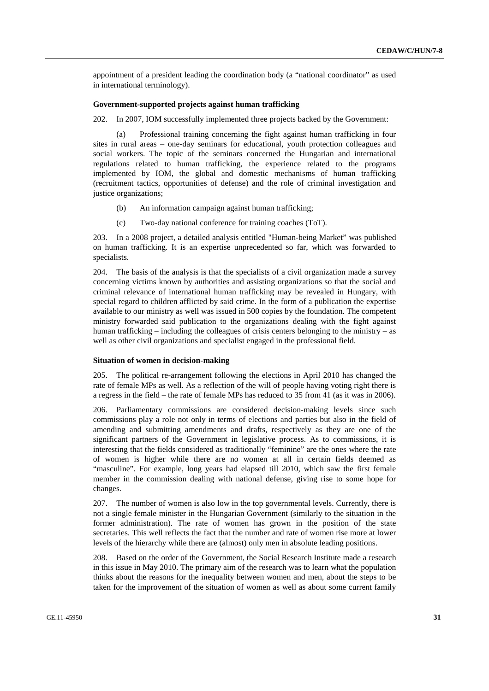appointment of a president leading the coordination body (a "national coordinator" as used in international terminology).

## **Government-supported projects against human trafficking**

202. In 2007, IOM successfully implemented three projects backed by the Government:

 (a) Professional training concerning the fight against human trafficking in four sites in rural areas – one-day seminars for educational, youth protection colleagues and social workers. The topic of the seminars concerned the Hungarian and international regulations related to human trafficking, the experience related to the programs implemented by IOM, the global and domestic mechanisms of human trafficking (recruitment tactics, opportunities of defense) and the role of criminal investigation and justice organizations;

- (b) An information campaign against human trafficking;
- (c) Two-day national conference for training coaches (ToT).

203. In a 2008 project, a detailed analysis entitled "Human-being Market" was published on human trafficking. It is an expertise unprecedented so far, which was forwarded to specialists.

204. The basis of the analysis is that the specialists of a civil organization made a survey concerning victims known by authorities and assisting organizations so that the social and criminal relevance of international human trafficking may be revealed in Hungary, with special regard to children afflicted by said crime. In the form of a publication the expertise available to our ministry as well was issued in 500 copies by the foundation. The competent ministry forwarded said publication to the organizations dealing with the fight against human trafficking – including the colleagues of crisis centers belonging to the ministry – as well as other civil organizations and specialist engaged in the professional field.

#### **Situation of women in decision-making**

205. The political re-arrangement following the elections in April 2010 has changed the rate of female MPs as well. As a reflection of the will of people having voting right there is a regress in the field – the rate of female MPs has reduced to 35 from 41 (as it was in 2006).

206. Parliamentary commissions are considered decision-making levels since such commissions play a role not only in terms of elections and parties but also in the field of amending and submitting amendments and drafts, respectively as they are one of the significant partners of the Government in legislative process. As to commissions, it is interesting that the fields considered as traditionally "feminine" are the ones where the rate of women is higher while there are no women at all in certain fields deemed as "masculine". For example, long years had elapsed till 2010, which saw the first female member in the commission dealing with national defense, giving rise to some hope for changes.

207. The number of women is also low in the top governmental levels. Currently, there is not a single female minister in the Hungarian Government (similarly to the situation in the former administration). The rate of women has grown in the position of the state secretaries. This well reflects the fact that the number and rate of women rise more at lower levels of the hierarchy while there are (almost) only men in absolute leading positions.

208. Based on the order of the Government, the Social Research Institute made a research in this issue in May 2010. The primary aim of the research was to learn what the population thinks about the reasons for the inequality between women and men, about the steps to be taken for the improvement of the situation of women as well as about some current family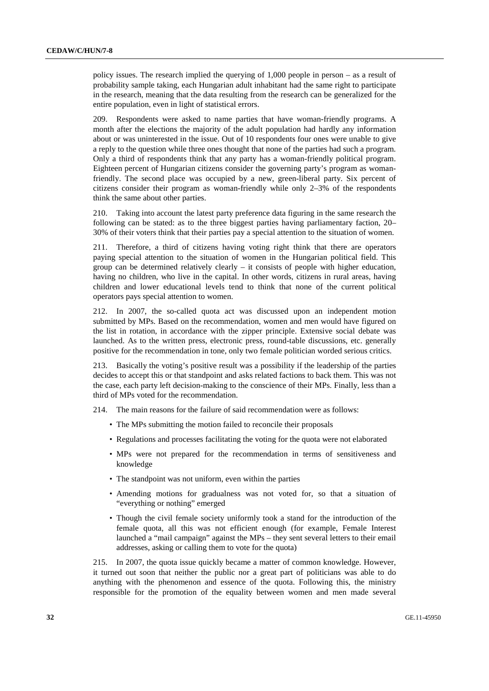policy issues. The research implied the querying of 1,000 people in person – as a result of probability sample taking, each Hungarian adult inhabitant had the same right to participate in the research, meaning that the data resulting from the research can be generalized for the entire population, even in light of statistical errors.

209. Respondents were asked to name parties that have woman-friendly programs. A month after the elections the majority of the adult population had hardly any information about or was uninterested in the issue. Out of 10 respondents four ones were unable to give a reply to the question while three ones thought that none of the parties had such a program. Only a third of respondents think that any party has a woman-friendly political program. Eighteen percent of Hungarian citizens consider the governing party's program as womanfriendly. The second place was occupied by a new, green-liberal party. Six percent of citizens consider their program as woman-friendly while only 2–3% of the respondents think the same about other parties.

210. Taking into account the latest party preference data figuring in the same research the following can be stated: as to the three biggest parties having parliamentary faction, 20– 30% of their voters think that their parties pay a special attention to the situation of women.

211. Therefore, a third of citizens having voting right think that there are operators paying special attention to the situation of women in the Hungarian political field. This group can be determined relatively clearly – it consists of people with higher education, having no children, who live in the capital. In other words, citizens in rural areas, having children and lower educational levels tend to think that none of the current political operators pays special attention to women.

212. In 2007, the so-called quota act was discussed upon an independent motion submitted by MPs. Based on the recommendation, women and men would have figured on the list in rotation, in accordance with the zipper principle. Extensive social debate was launched. As to the written press, electronic press, round-table discussions, etc. generally positive for the recommendation in tone, only two female politician worded serious critics.

213. Basically the voting's positive result was a possibility if the leadership of the parties decides to accept this or that standpoint and asks related factions to back them. This was not the case, each party left decision-making to the conscience of their MPs. Finally, less than a third of MPs voted for the recommendation.

214. The main reasons for the failure of said recommendation were as follows:

- The MPs submitting the motion failed to reconcile their proposals
- Regulations and processes facilitating the voting for the quota were not elaborated
- MPs were not prepared for the recommendation in terms of sensitiveness and knowledge
- The standpoint was not uniform, even within the parties
- Amending motions for gradualness was not voted for, so that a situation of "everything or nothing" emerged
- Though the civil female society uniformly took a stand for the introduction of the female quota, all this was not efficient enough (for example, Female Interest launched a "mail campaign" against the MPs – they sent several letters to their email addresses, asking or calling them to vote for the quota)

215. In 2007, the quota issue quickly became a matter of common knowledge. However, it turned out soon that neither the public nor a great part of politicians was able to do anything with the phenomenon and essence of the quota. Following this, the ministry responsible for the promotion of the equality between women and men made several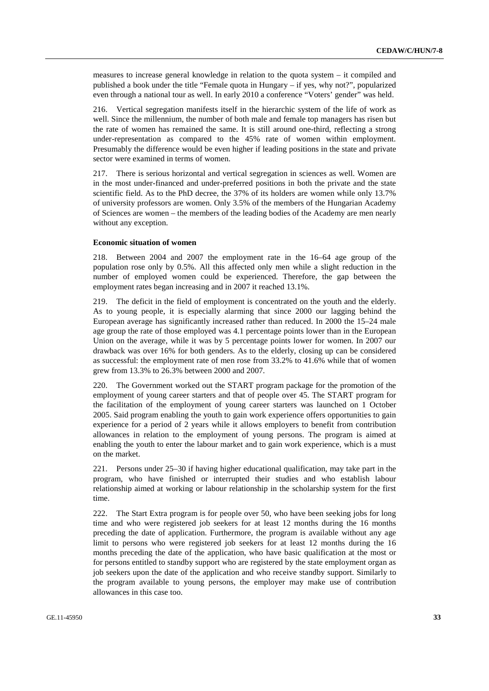measures to increase general knowledge in relation to the quota system – it compiled and published a book under the title "Female quota in Hungary – if yes, why not?", popularized even through a national tour as well. In early 2010 a conference "Voters' gender" was held.

216. Vertical segregation manifests itself in the hierarchic system of the life of work as well. Since the millennium, the number of both male and female top managers has risen but the rate of women has remained the same. It is still around one-third, reflecting a strong under-representation as compared to the 45% rate of women within employment. Presumably the difference would be even higher if leading positions in the state and private sector were examined in terms of women.

217. There is serious horizontal and vertical segregation in sciences as well. Women are in the most under-financed and under-preferred positions in both the private and the state scientific field. As to the PhD decree, the 37% of its holders are women while only 13.7% of university professors are women. Only 3.5% of the members of the Hungarian Academy of Sciences are women – the members of the leading bodies of the Academy are men nearly without any exception.

#### **Economic situation of women**

218. Between 2004 and 2007 the employment rate in the 16–64 age group of the population rose only by 0.5%. All this affected only men while a slight reduction in the number of employed women could be experienced. Therefore, the gap between the employment rates began increasing and in 2007 it reached 13.1%.

219. The deficit in the field of employment is concentrated on the youth and the elderly. As to young people, it is especially alarming that since 2000 our lagging behind the European average has significantly increased rather than reduced. In 2000 the 15–24 male age group the rate of those employed was 4.1 percentage points lower than in the European Union on the average, while it was by 5 percentage points lower for women. In 2007 our drawback was over 16% for both genders. As to the elderly, closing up can be considered as successful: the employment rate of men rose from 33.2% to 41.6% while that of women grew from 13.3% to 26.3% between 2000 and 2007.

220. The Government worked out the START program package for the promotion of the employment of young career starters and that of people over 45. The START program for the facilitation of the employment of young career starters was launched on 1 October 2005. Said program enabling the youth to gain work experience offers opportunities to gain experience for a period of 2 years while it allows employers to benefit from contribution allowances in relation to the employment of young persons. The program is aimed at enabling the youth to enter the labour market and to gain work experience, which is a must on the market.

221. Persons under 25–30 if having higher educational qualification, may take part in the program, who have finished or interrupted their studies and who establish labour relationship aimed at working or labour relationship in the scholarship system for the first time.

222. The Start Extra program is for people over 50, who have been seeking jobs for long time and who were registered job seekers for at least 12 months during the 16 months preceding the date of application. Furthermore, the program is available without any age limit to persons who were registered job seekers for at least 12 months during the 16 months preceding the date of the application, who have basic qualification at the most or for persons entitled to standby support who are registered by the state employment organ as job seekers upon the date of the application and who receive standby support. Similarly to the program available to young persons, the employer may make use of contribution allowances in this case too.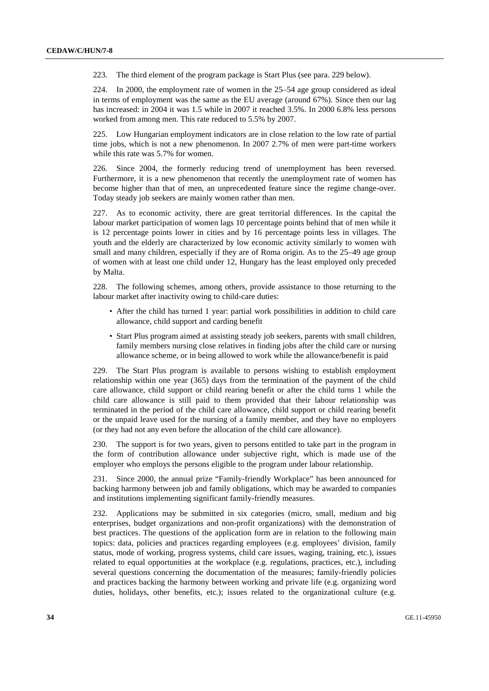223. The third element of the program package is Start Plus (see para. 229 below).

224. In 2000, the employment rate of women in the 25–54 age group considered as ideal in terms of employment was the same as the EU average (around 67%). Since then our lag has increased: in 2004 it was 1.5 while in 2007 it reached 3.5%. In 2000 6.8% less persons worked from among men. This rate reduced to 5.5% by 2007.

225. Low Hungarian employment indicators are in close relation to the low rate of partial time jobs, which is not a new phenomenon. In 2007 2.7% of men were part-time workers while this rate was 5.7% for women.

226. Since 2004, the formerly reducing trend of unemployment has been reversed. Furthermore, it is a new phenomenon that recently the unemployment rate of women has become higher than that of men, an unprecedented feature since the regime change-over. Today steady job seekers are mainly women rather than men.

227. As to economic activity, there are great territorial differences. In the capital the labour market participation of women lags 10 percentage points behind that of men while it is 12 percentage points lower in cities and by 16 percentage points less in villages. The youth and the elderly are characterized by low economic activity similarly to women with small and many children, especially if they are of Roma origin. As to the 25–49 age group of women with at least one child under 12, Hungary has the least employed only preceded by Malta.

228. The following schemes, among others, provide assistance to those returning to the labour market after inactivity owing to child-care duties:

- After the child has turned 1 year: partial work possibilities in addition to child care allowance, child support and carding benefit
- Start Plus program aimed at assisting steady job seekers, parents with small children, family members nursing close relatives in finding jobs after the child care or nursing allowance scheme, or in being allowed to work while the allowance/benefit is paid

229. The Start Plus program is available to persons wishing to establish employment relationship within one year (365) days from the termination of the payment of the child care allowance, child support or child rearing benefit or after the child turns 1 while the child care allowance is still paid to them provided that their labour relationship was terminated in the period of the child care allowance, child support or child rearing benefit or the unpaid leave used for the nursing of a family member, and they have no employers (or they had not any even before the allocation of the child care allowance).

230. The support is for two years, given to persons entitled to take part in the program in the form of contribution allowance under subjective right, which is made use of the employer who employs the persons eligible to the program under labour relationship.

231. Since 2000, the annual prize "Family-friendly Workplace" has been announced for backing harmony between job and family obligations, which may be awarded to companies and institutions implementing significant family-friendly measures.

232. Applications may be submitted in six categories (micro, small, medium and big enterprises, budget organizations and non-profit organizations) with the demonstration of best practices. The questions of the application form are in relation to the following main topics: data, policies and practices regarding employees (e.g. employees' division, family status, mode of working, progress systems, child care issues, waging, training, etc.), issues related to equal opportunities at the workplace (e.g. regulations, practices, etc.), including several questions concerning the documentation of the measures; family-friendly policies and practices backing the harmony between working and private life (e.g. organizing word duties, holidays, other benefits, etc.); issues related to the organizational culture (e.g.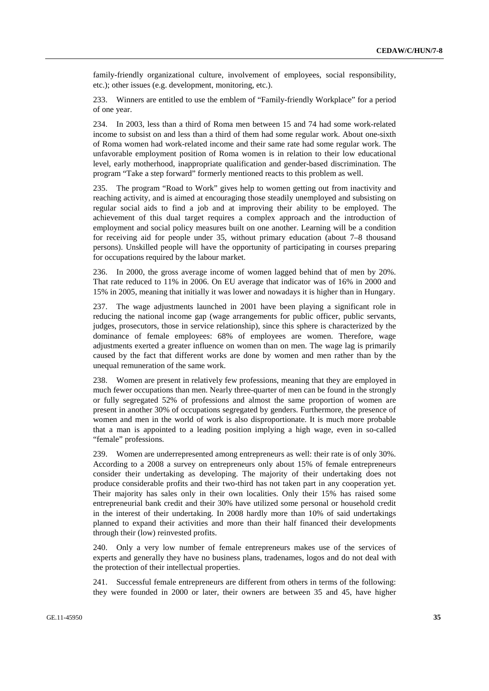family-friendly organizational culture, involvement of employees, social responsibility, etc.); other issues (e.g. development, monitoring, etc.).

233. Winners are entitled to use the emblem of "Family-friendly Workplace" for a period of one year.

234. In 2003, less than a third of Roma men between 15 and 74 had some work-related income to subsist on and less than a third of them had some regular work. About one-sixth of Roma women had work-related income and their same rate had some regular work. The unfavorable employment position of Roma women is in relation to their low educational level, early motherhood, inappropriate qualification and gender-based discrimination. The program "Take a step forward" formerly mentioned reacts to this problem as well.

235. The program "Road to Work" gives help to women getting out from inactivity and reaching activity, and is aimed at encouraging those steadily unemployed and subsisting on regular social aids to find a job and at improving their ability to be employed. The achievement of this dual target requires a complex approach and the introduction of employment and social policy measures built on one another. Learning will be a condition for receiving aid for people under 35, without primary education (about 7–8 thousand persons). Unskilled people will have the opportunity of participating in courses preparing for occupations required by the labour market.

236. In 2000, the gross average income of women lagged behind that of men by 20%. That rate reduced to 11% in 2006. On EU average that indicator was of 16% in 2000 and 15% in 2005, meaning that initially it was lower and nowadays it is higher than in Hungary.

237. The wage adjustments launched in 2001 have been playing a significant role in reducing the national income gap (wage arrangements for public officer, public servants, judges, prosecutors, those in service relationship), since this sphere is characterized by the dominance of female employees: 68% of employees are women. Therefore, wage adjustments exerted a greater influence on women than on men. The wage lag is primarily caused by the fact that different works are done by women and men rather than by the unequal remuneration of the same work.

238. Women are present in relatively few professions, meaning that they are employed in much fewer occupations than men. Nearly three-quarter of men can be found in the strongly or fully segregated 52% of professions and almost the same proportion of women are present in another 30% of occupations segregated by genders. Furthermore, the presence of women and men in the world of work is also disproportionate. It is much more probable that a man is appointed to a leading position implying a high wage, even in so-called "female" professions.

239. Women are underrepresented among entrepreneurs as well: their rate is of only 30%. According to a 2008 a survey on entrepreneurs only about 15% of female entrepreneurs consider their undertaking as developing. The majority of their undertaking does not produce considerable profits and their two-third has not taken part in any cooperation yet. Their majority has sales only in their own localities. Only their 15% has raised some entrepreneurial bank credit and their 30% have utilized some personal or household credit in the interest of their undertaking. In 2008 hardly more than 10% of said undertakings planned to expand their activities and more than their half financed their developments through their (low) reinvested profits.

240. Only a very low number of female entrepreneurs makes use of the services of experts and generally they have no business plans, tradenames, logos and do not deal with the protection of their intellectual properties.

241. Successful female entrepreneurs are different from others in terms of the following: they were founded in 2000 or later, their owners are between 35 and 45, have higher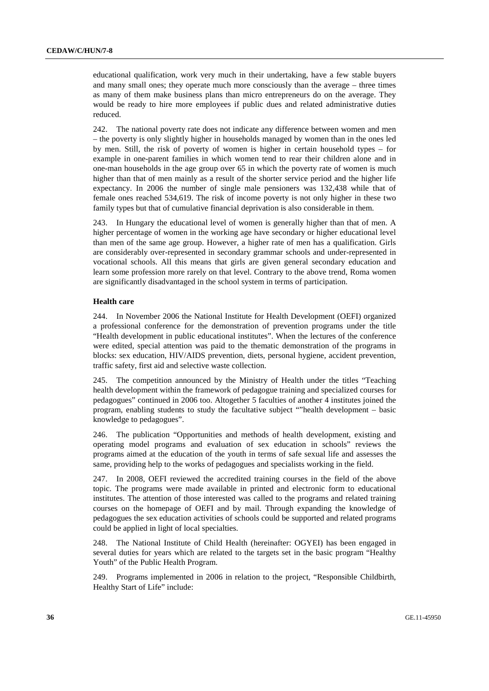educational qualification, work very much in their undertaking, have a few stable buyers and many small ones; they operate much more consciously than the average – three times as many of them make business plans than micro entrepreneurs do on the average. They would be ready to hire more employees if public dues and related administrative duties reduced.

242. The national poverty rate does not indicate any difference between women and men – the poverty is only slightly higher in households managed by women than in the ones led by men. Still, the risk of poverty of women is higher in certain household types – for example in one-parent families in which women tend to rear their children alone and in one-man households in the age group over 65 in which the poverty rate of women is much higher than that of men mainly as a result of the shorter service period and the higher life expectancy. In 2006 the number of single male pensioners was 132,438 while that of female ones reached 534,619. The risk of income poverty is not only higher in these two family types but that of cumulative financial deprivation is also considerable in them.

243. In Hungary the educational level of women is generally higher than that of men. A higher percentage of women in the working age have secondary or higher educational level than men of the same age group. However, a higher rate of men has a qualification. Girls are considerably over-represented in secondary grammar schools and under-represented in vocational schools. All this means that girls are given general secondary education and learn some profession more rarely on that level. Contrary to the above trend, Roma women are significantly disadvantaged in the school system in terms of participation.

#### **Health care**

244. In November 2006 the National Institute for Health Development (OEFI) organized a professional conference for the demonstration of prevention programs under the title "Health development in public educational institutes". When the lectures of the conference were edited, special attention was paid to the thematic demonstration of the programs in blocks: sex education, HIV/AIDS prevention, diets, personal hygiene, accident prevention, traffic safety, first aid and selective waste collection.

245. The competition announced by the Ministry of Health under the titles "Teaching health development within the framework of pedagogue training and specialized courses for pedagogues" continued in 2006 too. Altogether 5 faculties of another 4 institutes joined the program, enabling students to study the facultative subject ""health development – basic knowledge to pedagogues".

246. The publication "Opportunities and methods of health development, existing and operating model programs and evaluation of sex education in schools" reviews the programs aimed at the education of the youth in terms of safe sexual life and assesses the same, providing help to the works of pedagogues and specialists working in the field.

247. In 2008, OEFI reviewed the accredited training courses in the field of the above topic. The programs were made available in printed and electronic form to educational institutes. The attention of those interested was called to the programs and related training courses on the homepage of OEFI and by mail. Through expanding the knowledge of pedagogues the sex education activities of schools could be supported and related programs could be applied in light of local specialties.

248. The National Institute of Child Health (hereinafter: OGYEI) has been engaged in several duties for years which are related to the targets set in the basic program "Healthy Youth" of the Public Health Program.

249. Programs implemented in 2006 in relation to the project, "Responsible Childbirth, Healthy Start of Life" include: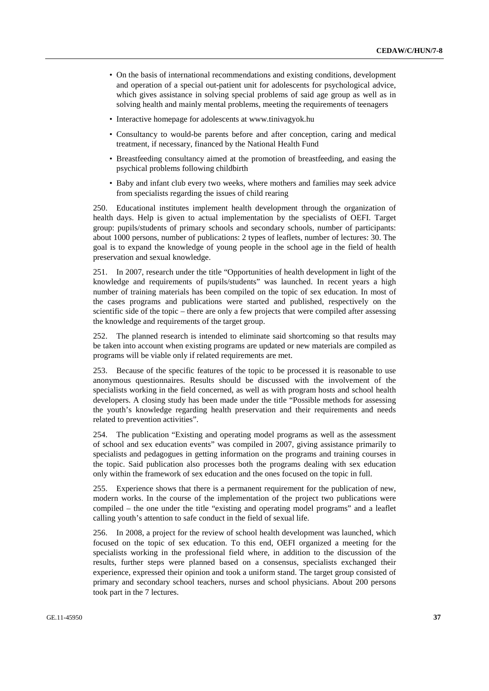- On the basis of international recommendations and existing conditions, development and operation of a special out-patient unit for adolescents for psychological advice, which gives assistance in solving special problems of said age group as well as in solving health and mainly mental problems, meeting the requirements of teenagers
- Interactive homepage for adolescents at www.tinivagyok.hu
- Consultancy to would-be parents before and after conception, caring and medical treatment, if necessary, financed by the National Health Fund
- Breastfeeding consultancy aimed at the promotion of breastfeeding, and easing the psychical problems following childbirth
- Baby and infant club every two weeks, where mothers and families may seek advice from specialists regarding the issues of child rearing

250. Educational institutes implement health development through the organization of health days. Help is given to actual implementation by the specialists of OEFI. Target group: pupils/students of primary schools and secondary schools, number of participants: about 1000 persons, number of publications: 2 types of leaflets, number of lectures: 30. The goal is to expand the knowledge of young people in the school age in the field of health preservation and sexual knowledge.

251. In 2007, research under the title "Opportunities of health development in light of the knowledge and requirements of pupils/students" was launched. In recent years a high number of training materials has been compiled on the topic of sex education. In most of the cases programs and publications were started and published, respectively on the scientific side of the topic – there are only a few projects that were compiled after assessing the knowledge and requirements of the target group.

252. The planned research is intended to eliminate said shortcoming so that results may be taken into account when existing programs are updated or new materials are compiled as programs will be viable only if related requirements are met.

253. Because of the specific features of the topic to be processed it is reasonable to use anonymous questionnaires. Results should be discussed with the involvement of the specialists working in the field concerned, as well as with program hosts and school health developers. A closing study has been made under the title "Possible methods for assessing the youth's knowledge regarding health preservation and their requirements and needs related to prevention activities".

254. The publication "Existing and operating model programs as well as the assessment of school and sex education events" was compiled in 2007, giving assistance primarily to specialists and pedagogues in getting information on the programs and training courses in the topic. Said publication also processes both the programs dealing with sex education only within the framework of sex education and the ones focused on the topic in full.

255. Experience shows that there is a permanent requirement for the publication of new, modern works. In the course of the implementation of the project two publications were compiled – the one under the title "existing and operating model programs" and a leaflet calling youth's attention to safe conduct in the field of sexual life.

256. In 2008, a project for the review of school health development was launched, which focused on the topic of sex education. To this end, OEFI organized a meeting for the specialists working in the professional field where, in addition to the discussion of the results, further steps were planned based on a consensus, specialists exchanged their experience, expressed their opinion and took a uniform stand. The target group consisted of primary and secondary school teachers, nurses and school physicians. About 200 persons took part in the 7 lectures.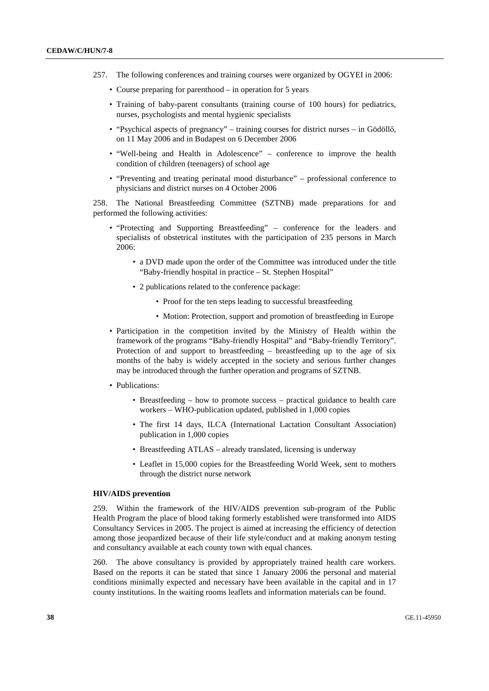- 257. The following conferences and training courses were organized by OGYEI in 2006:
	- Course preparing for parenthood in operation for 5 years
	- Training of baby-parent consultants (training course of 100 hours) for pediatrics, nurses, psychologists and mental hygienic specialists
	- "Psychical aspects of pregnancy" training courses for district nurses in Gödöllő, on 11 May 2006 and in Budapest on 6 December 2006
	- "Well-being and Health in Adolescence" conference to improve the health condition of children (teenagers) of school age
	- "Preventing and treating perinatal mood disturbance" professional conference to physicians and district nurses on 4 October 2006

258. The National Breastfeeding Committee (SZTNB) made preparations for and performed the following activities:

- "Protecting and Supporting Breastfeeding" conference for the leaders and specialists of obstetrical institutes with the participation of 235 persons in March 2006:
	- a DVD made upon the order of the Committee was introduced under the title "Baby-friendly hospital in practice – St. Stephen Hospital"
	- 2 publications related to the conference package:
		- Proof for the ten steps leading to successful breastfeeding
		- Motion: Protection, support and promotion of breastfeeding in Europe
- Participation in the competition invited by the Ministry of Health within the framework of the programs "Baby-friendly Hospital" and "Baby-friendly Territory". Protection of and support to breastfeeding – breastfeeding up to the age of six months of the baby is widely accepted in the society and serious further changes may be introduced through the further operation and programs of SZTNB.
- Publications:
	- Breastfeeding how to promote success practical guidance to health care workers – WHO-publication updated, published in 1,000 copies
	- The first 14 days, ILCA (International Lactation Consultant Association) publication in 1,000 copies
	- Breastfeeding ATLAS already translated, licensing is underway
	- Leaflet in 15,000 copies for the Breastfeeding World Week, sent to mothers through the district nurse network

### **HIV/AIDS prevention**

259. Within the framework of the HIV/AIDS prevention sub-program of the Public Health Program the place of blood taking formerly established were transformed into AIDS Consultancy Services in 2005. The project is aimed at increasing the efficiency of detection among those jeopardized because of their life style/conduct and at making anonym testing and consultancy available at each county town with equal chances.

260. The above consultancy is provided by appropriately trained health care workers. Based on the reports it can be stated that since 1 January 2006 the personal and material conditions minimally expected and necessary have been available in the capital and in 17 county institutions. In the waiting rooms leaflets and information materials can be found.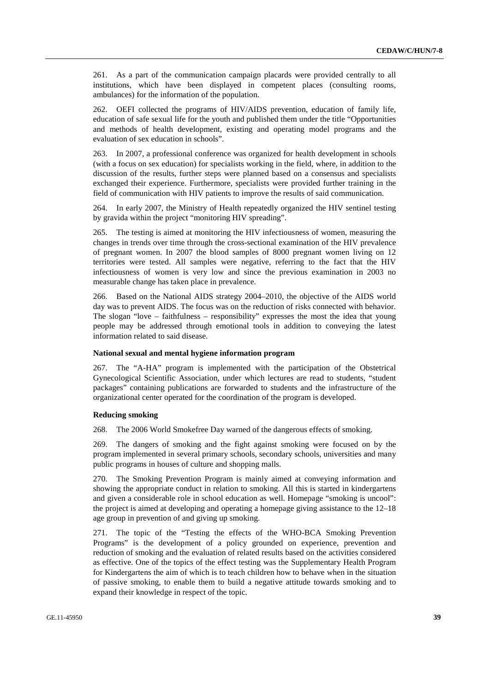261. As a part of the communication campaign placards were provided centrally to all institutions, which have been displayed in competent places (consulting rooms, ambulances) for the information of the population.

262. OEFI collected the programs of HIV/AIDS prevention, education of family life, education of safe sexual life for the youth and published them under the title "Opportunities and methods of health development, existing and operating model programs and the evaluation of sex education in schools".

263. In 2007, a professional conference was organized for health development in schools (with a focus on sex education) for specialists working in the field, where, in addition to the discussion of the results, further steps were planned based on a consensus and specialists exchanged their experience. Furthermore, specialists were provided further training in the field of communication with HIV patients to improve the results of said communication.

264. In early 2007, the Ministry of Health repeatedly organized the HIV sentinel testing by gravida within the project "monitoring HIV spreading".

265. The testing is aimed at monitoring the HIV infectiousness of women, measuring the changes in trends over time through the cross-sectional examination of the HIV prevalence of pregnant women. In 2007 the blood samples of 8000 pregnant women living on 12 territories were tested. All samples were negative, referring to the fact that the HIV infectiousness of women is very low and since the previous examination in 2003 no measurable change has taken place in prevalence.

266. Based on the National AIDS strategy 2004–2010, the objective of the AIDS world day was to prevent AIDS. The focus was on the reduction of risks connected with behavior. The slogan "love – faithfulness – responsibility" expresses the most the idea that young people may be addressed through emotional tools in addition to conveying the latest information related to said disease.

#### **National sexual and mental hygiene information program**

267. The "A-HA" program is implemented with the participation of the Obstetrical Gynecological Scientific Association, under which lectures are read to students, "student packages" containing publications are forwarded to students and the infrastructure of the organizational center operated for the coordination of the program is developed.

#### **Reducing smoking**

268. The 2006 World Smokefree Day warned of the dangerous effects of smoking.

269. The dangers of smoking and the fight against smoking were focused on by the program implemented in several primary schools, secondary schools, universities and many public programs in houses of culture and shopping malls.

270. The Smoking Prevention Program is mainly aimed at conveying information and showing the appropriate conduct in relation to smoking. All this is started in kindergartens and given a considerable role in school education as well. Homepage "smoking is uncool": the project is aimed at developing and operating a homepage giving assistance to the 12–18 age group in prevention of and giving up smoking.

271. The topic of the "Testing the effects of the WHO-BCA Smoking Prevention Programs" is the development of a policy grounded on experience, prevention and reduction of smoking and the evaluation of related results based on the activities considered as effective. One of the topics of the effect testing was the Supplementary Health Program for Kindergartens the aim of which is to teach children how to behave when in the situation of passive smoking, to enable them to build a negative attitude towards smoking and to expand their knowledge in respect of the topic.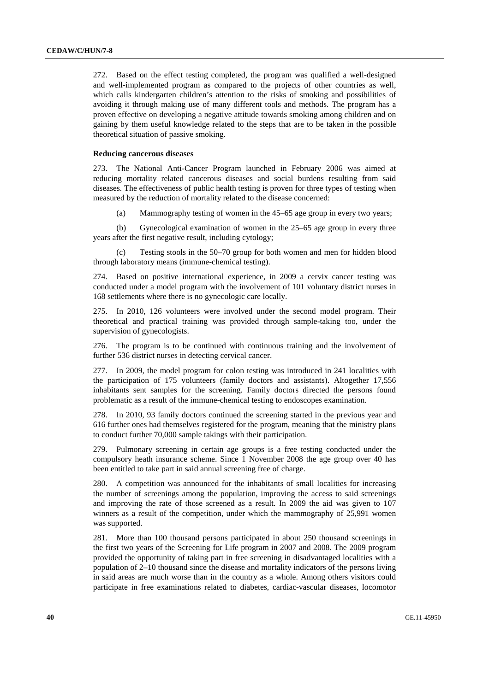272. Based on the effect testing completed, the program was qualified a well-designed and well-implemented program as compared to the projects of other countries as well, which calls kindergarten children's attention to the risks of smoking and possibilities of avoiding it through making use of many different tools and methods. The program has a proven effective on developing a negative attitude towards smoking among children and on gaining by them useful knowledge related to the steps that are to be taken in the possible theoretical situation of passive smoking.

#### **Reducing cancerous diseases**

273. The National Anti-Cancer Program launched in February 2006 was aimed at reducing mortality related cancerous diseases and social burdens resulting from said diseases. The effectiveness of public health testing is proven for three types of testing when measured by the reduction of mortality related to the disease concerned:

(a) Mammography testing of women in the 45–65 age group in every two years;

 (b) Gynecological examination of women in the 25–65 age group in every three years after the first negative result, including cytology;

Testing stools in the 50–70 group for both women and men for hidden blood through laboratory means (immune-chemical testing).

274. Based on positive international experience, in 2009 a cervix cancer testing was conducted under a model program with the involvement of 101 voluntary district nurses in 168 settlements where there is no gynecologic care locally.

275. In 2010, 126 volunteers were involved under the second model program. Their theoretical and practical training was provided through sample-taking too, under the supervision of gynecologists.

276. The program is to be continued with continuous training and the involvement of further 536 district nurses in detecting cervical cancer.

277. In 2009, the model program for colon testing was introduced in 241 localities with the participation of 175 volunteers (family doctors and assistants). Altogether 17,556 inhabitants sent samples for the screening. Family doctors directed the persons found problematic as a result of the immune-chemical testing to endoscopes examination.

In 2010, 93 family doctors continued the screening started in the previous year and 616 further ones had themselves registered for the program, meaning that the ministry plans to conduct further 70,000 sample takings with their participation.

279. Pulmonary screening in certain age groups is a free testing conducted under the compulsory heath insurance scheme. Since 1 November 2008 the age group over 40 has been entitled to take part in said annual screening free of charge.

280. A competition was announced for the inhabitants of small localities for increasing the number of screenings among the population, improving the access to said screenings and improving the rate of those screened as a result. In 2009 the aid was given to 107 winners as a result of the competition, under which the mammography of 25,991 women was supported.

281. More than 100 thousand persons participated in about 250 thousand screenings in the first two years of the Screening for Life program in 2007 and 2008. The 2009 program provided the opportunity of taking part in free screening in disadvantaged localities with a population of 2–10 thousand since the disease and mortality indicators of the persons living in said areas are much worse than in the country as a whole. Among others visitors could participate in free examinations related to diabetes, cardiac-vascular diseases, locomotor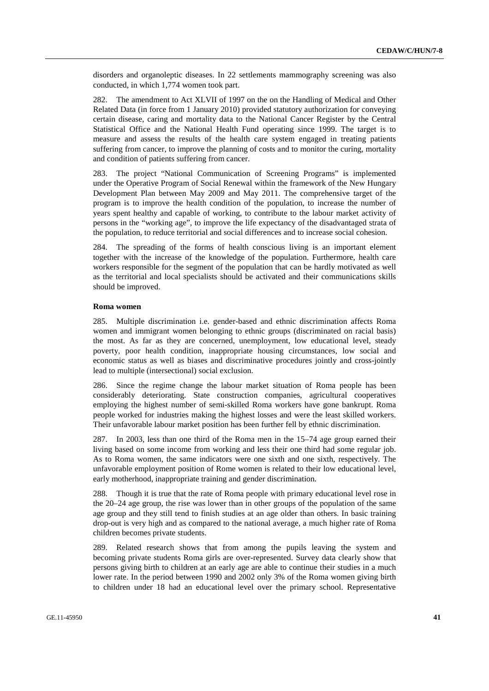disorders and organoleptic diseases. In 22 settlements mammography screening was also conducted, in which 1,774 women took part.

282. The amendment to Act XLVII of 1997 on the on the Handling of Medical and Other Related Data (in force from 1 January 2010) provided statutory authorization for conveying certain disease, caring and mortality data to the National Cancer Register by the Central Statistical Office and the National Health Fund operating since 1999. The target is to measure and assess the results of the health care system engaged in treating patients suffering from cancer, to improve the planning of costs and to monitor the curing, mortality and condition of patients suffering from cancer.

283. The project "National Communication of Screening Programs" is implemented under the Operative Program of Social Renewal within the framework of the New Hungary Development Plan between May 2009 and May 2011. The comprehensive target of the program is to improve the health condition of the population, to increase the number of years spent healthy and capable of working, to contribute to the labour market activity of persons in the "working age", to improve the life expectancy of the disadvantaged strata of the population, to reduce territorial and social differences and to increase social cohesion.

284. The spreading of the forms of health conscious living is an important element together with the increase of the knowledge of the population. Furthermore, health care workers responsible for the segment of the population that can be hardly motivated as well as the territorial and local specialists should be activated and their communications skills should be improved.

#### **Roma women**

285. Multiple discrimination i.e. gender-based and ethnic discrimination affects Roma women and immigrant women belonging to ethnic groups (discriminated on racial basis) the most. As far as they are concerned, unemployment, low educational level, steady poverty, poor health condition, inappropriate housing circumstances, low social and economic status as well as biases and discriminative procedures jointly and cross-jointly lead to multiple (intersectional) social exclusion.

286. Since the regime change the labour market situation of Roma people has been considerably deteriorating. State construction companies, agricultural cooperatives employing the highest number of semi-skilled Roma workers have gone bankrupt. Roma people worked for industries making the highest losses and were the least skilled workers. Their unfavorable labour market position has been further fell by ethnic discrimination.

287. In 2003, less than one third of the Roma men in the 15–74 age group earned their living based on some income from working and less their one third had some regular job. As to Roma women, the same indicators were one sixth and one sixth, respectively. The unfavorable employment position of Rome women is related to their low educational level, early motherhood, inappropriate training and gender discrimination.

288. Though it is true that the rate of Roma people with primary educational level rose in the 20–24 age group, the rise was lower than in other groups of the population of the same age group and they still tend to finish studies at an age older than others. In basic training drop-out is very high and as compared to the national average, a much higher rate of Roma children becomes private students.

289. Related research shows that from among the pupils leaving the system and becoming private students Roma girls are over-represented. Survey data clearly show that persons giving birth to children at an early age are able to continue their studies in a much lower rate. In the period between 1990 and 2002 only 3% of the Roma women giving birth to children under 18 had an educational level over the primary school. Representative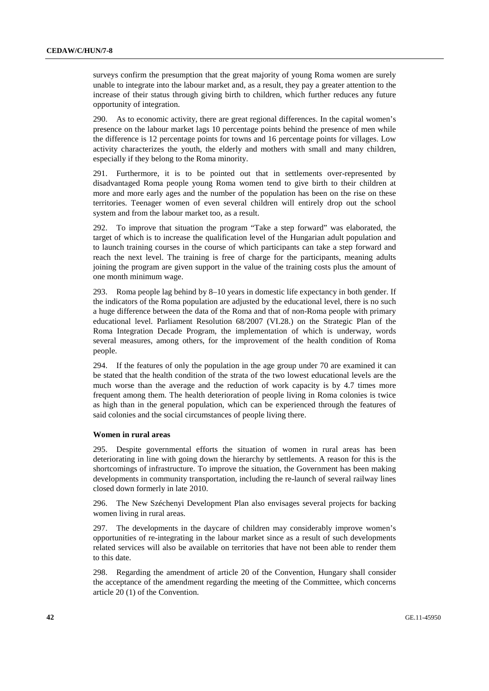surveys confirm the presumption that the great majority of young Roma women are surely unable to integrate into the labour market and, as a result, they pay a greater attention to the increase of their status through giving birth to children, which further reduces any future opportunity of integration.

290. As to economic activity, there are great regional differences. In the capital women's presence on the labour market lags 10 percentage points behind the presence of men while the difference is 12 percentage points for towns and 16 percentage points for villages. Low activity characterizes the youth, the elderly and mothers with small and many children, especially if they belong to the Roma minority.

291. Furthermore, it is to be pointed out that in settlements over-represented by disadvantaged Roma people young Roma women tend to give birth to their children at more and more early ages and the number of the population has been on the rise on these territories. Teenager women of even several children will entirely drop out the school system and from the labour market too, as a result.

292. To improve that situation the program "Take a step forward" was elaborated, the target of which is to increase the qualification level of the Hungarian adult population and to launch training courses in the course of which participants can take a step forward and reach the next level. The training is free of charge for the participants, meaning adults joining the program are given support in the value of the training costs plus the amount of one month minimum wage.

293. Roma people lag behind by 8–10 years in domestic life expectancy in both gender. If the indicators of the Roma population are adjusted by the educational level, there is no such a huge difference between the data of the Roma and that of non-Roma people with primary educational level. Parliament Resolution 68/2007 (VI.28.) on the Strategic Plan of the Roma Integration Decade Program, the implementation of which is underway, words several measures, among others, for the improvement of the health condition of Roma people.

294. If the features of only the population in the age group under 70 are examined it can be stated that the health condition of the strata of the two lowest educational levels are the much worse than the average and the reduction of work capacity is by 4.7 times more frequent among them. The health deterioration of people living in Roma colonies is twice as high than in the general population, which can be experienced through the features of said colonies and the social circumstances of people living there.

#### **Women in rural areas**

295. Despite governmental efforts the situation of women in rural areas has been deteriorating in line with going down the hierarchy by settlements. A reason for this is the shortcomings of infrastructure. To improve the situation, the Government has been making developments in community transportation, including the re-launch of several railway lines closed down formerly in late 2010.

296. The New Széchenyi Development Plan also envisages several projects for backing women living in rural areas.

297. The developments in the daycare of children may considerably improve women's opportunities of re-integrating in the labour market since as a result of such developments related services will also be available on territories that have not been able to render them to this date.

298. Regarding the amendment of article 20 of the Convention, Hungary shall consider the acceptance of the amendment regarding the meeting of the Committee, which concerns article 20 (1) of the Convention.